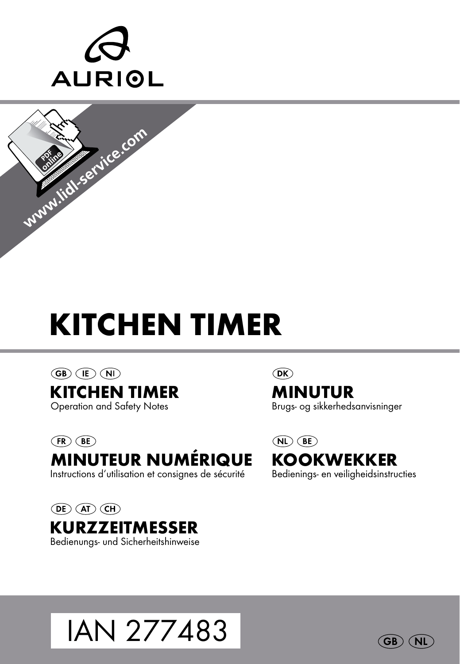



# KITCHEN TIMER

 $\overline{\text{GB}}$   $\overline{\text{IE}}$   $\overline{\text{N}}$ 

KITCHEN TIMER

Operation and Safety Notes

 $(FR)$  $(BE)$ 

## MINUTEUR NUMÉRIQUE

Instructions d'utilisation et consignes de sécurité

 $\overline{(\mathsf{DE})}$   $\overline{(\mathsf{AT})}$   $\overline{(\mathsf{CH})}$ KURZZEITMESSER Bedienungs- und Sicherheitshinweise  $\widehat{DR}$ 

#### MINUTUR Brugs- og sikkerhedsanvisninger

 $(D)$  $(BE)$ KOOKWEKKER Bedienings- en veiligheidsinstructies



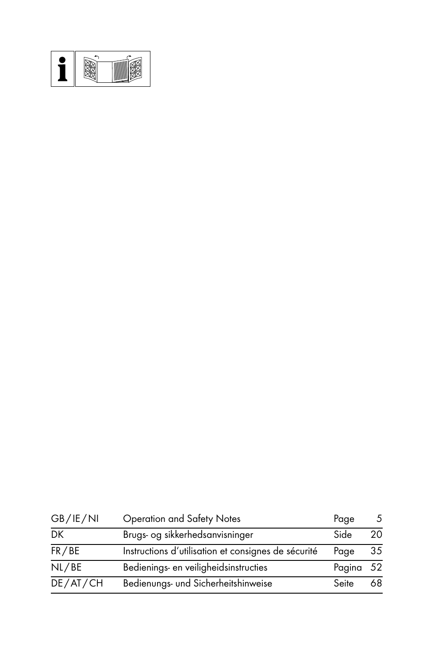

| GB/IE/NI | Operation and Safety Notes                          | Page      | 5  |
|----------|-----------------------------------------------------|-----------|----|
| DK       | Brugs- og sikkerhedsanvisninger                     | Side      | 20 |
| FR/BE    | Instructions d'utilisation et consignes de sécurité | Page      | 35 |
| N L / BE | Bedienings- en veiligheidsinstructies               | Pagina 52 |    |
| DE/AT/CH | Bedienungs- und Sicherheitshinweise                 | Seite     | 68 |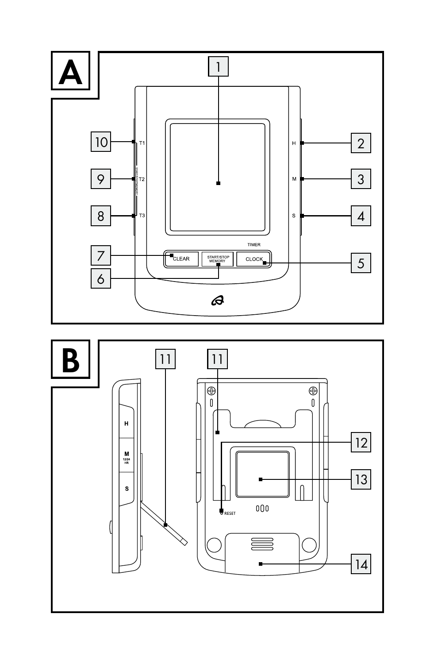

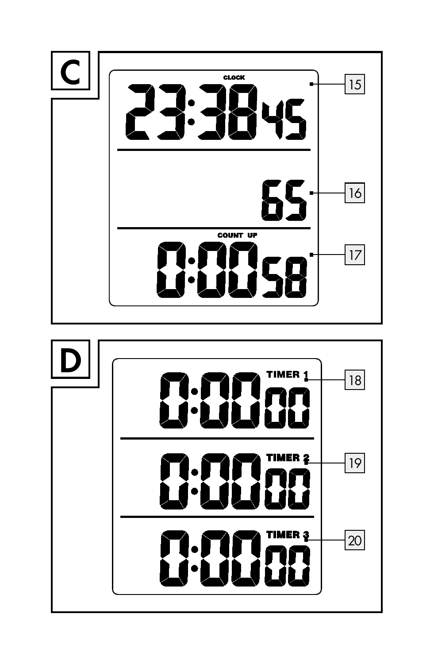

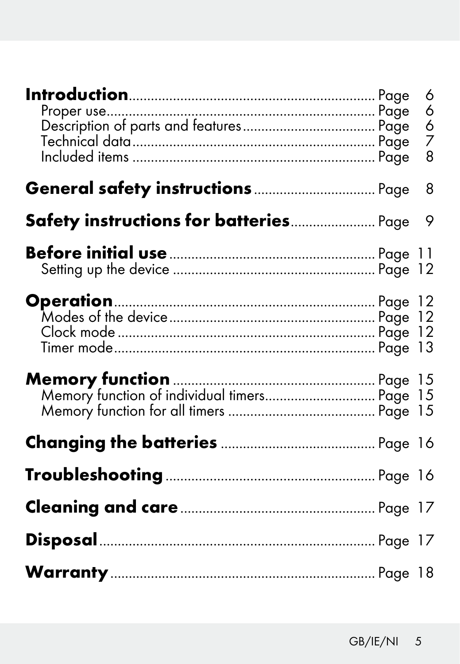|                                                 | 6<br>6<br>6<br>7<br>8 |
|-------------------------------------------------|-----------------------|
| General safety instructions  Page               | 8                     |
| <b>Safety instructions for batteries</b> Page 9 |                       |
|                                                 |                       |
|                                                 |                       |
|                                                 |                       |
|                                                 |                       |
|                                                 |                       |
|                                                 |                       |
|                                                 |                       |
|                                                 |                       |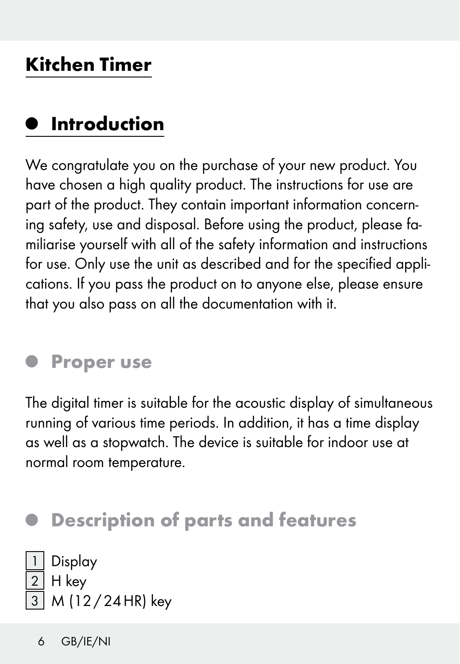#### Kitchen Timer

#### Introduction

We congratulate you on the purchase of your new product. You have chosen a high quality product. The instructions for use are part of the product. They contain important information concerning safety, use and disposal. Before using the product, please familiarise yourself with all of the safety information and instructions for use. Only use the unit as described and for the specified applications. If you pass the product on to anyone else, please ensure that you also pass on all the documentation with it.

#### Proper use

The digital timer is suitable for the acoustic display of simultaneous running of various time periods. In addition, it has a time display as well as a stopwatch. The device is suitable for indoor use at normal room temperature.

#### Description of parts and features

| 1 Display                       |
|---------------------------------|
| $\boxed{2}$ H key               |
| $\overline{3}$ M (12/24 HR) key |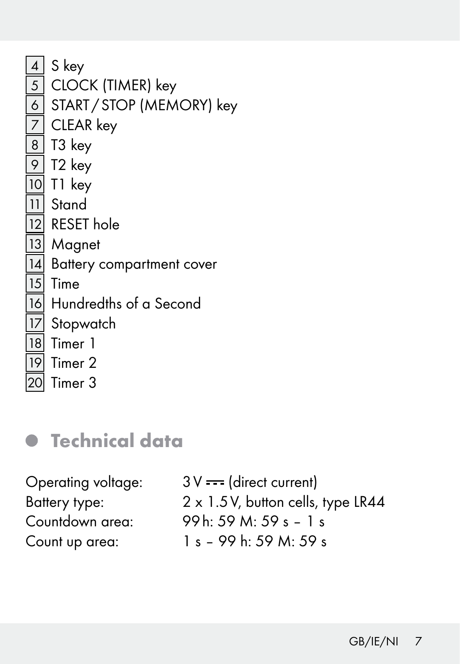| 4               | S key                                                             |
|-----------------|-------------------------------------------------------------------|
|                 |                                                                   |
|                 | 5 CLOCK (TIMER) key<br>6 START / STOP (MEMORY) key<br>7 CLEAR key |
|                 |                                                                   |
|                 |                                                                   |
|                 | $\frac{8}{9}$ T3 key<br>9 T2 key                                  |
|                 | $\overline{10}$ T1 key                                            |
| $\overline{11}$ | Stand                                                             |
|                 | 12 RESET hole                                                     |
|                 | 13 Magnet                                                         |
|                 | 14 Battery compartment cover                                      |
|                 | $\overline{15}$ Time                                              |
|                 | 16 Hundredths of a Second                                         |
|                 | 17 Stopwatch                                                      |
| 8               | Timer 1                                                           |
|                 | $\overline{19}$ Timer 2                                           |
|                 | $\overline{20}$ Timer 3                                           |

#### **•** Technical data

| Operating voltage: |
|--------------------|
| Battery type:      |
| Countdown area:    |
| Count up area:     |

 $3V$   $\rightarrow$  (direct current)  $2 \times 1.5$  V, button cells, type LR44 99h: 59 M: 59 s – 1 s 1 s - 99 h: 59 M: 59 s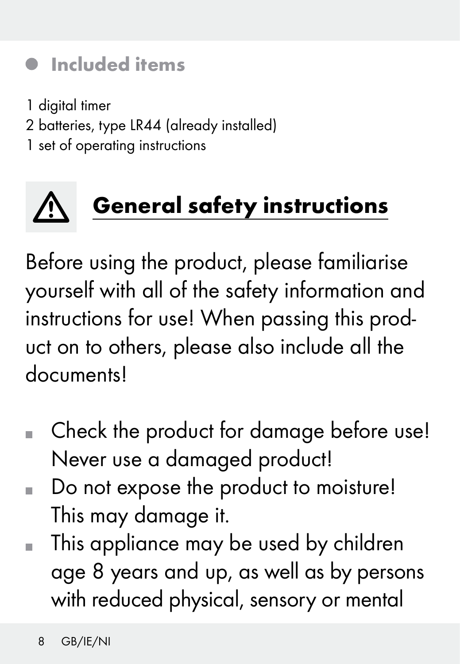

- 1 digital timer
- 2 batteries, type LR44 (already installed)
- 1 set of operating instructions



Before using the product, please familiarise yourself with all of the safety information and instructions for use! When passing this product on to others, please also include all the documents!

- Check the product for damage before use! Never use a damaged product!
- Do not expose the product to moisture! This may damage it.
- This appliance may be used by children age 8 years and up, as well as by persons with reduced physical, sensory or mental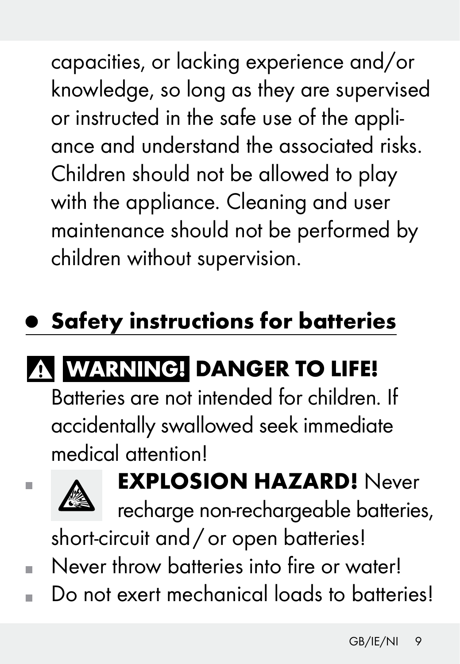capacities, or lacking experience and/or knowledge, so long as they are supervised or instructed in the safe use of the appliance and understand the associated risks. Children should not be allowed to play with the appliance. Cleaning and user maintenance should not be performed by children without supervision.

# Safety instructions for batteries

# **A WARNING! DANGER TO LIFE!**

 Batteries are not intended for children. If accidentally swallowed seek immediate medical attention!



## **EXPLOSION HAZARD!** Never

recharge non-rechargeable batteries,

short-circuit and/or open batteries!

- Never throw batteries into fire or water!
- Do not exert mechanical loads to batteries!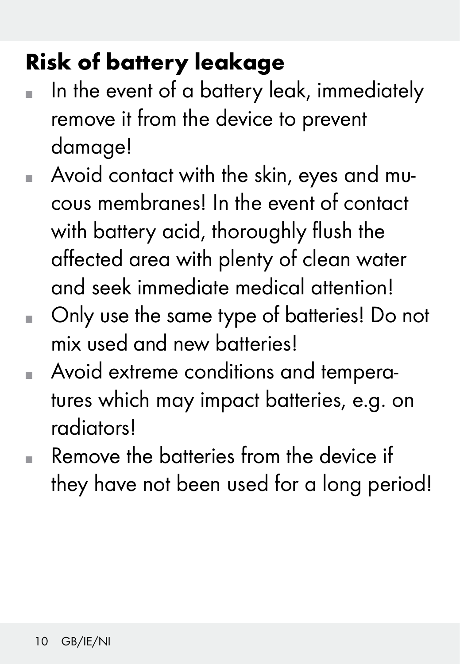# Risk of battery leakage

- $\blacksquare$  In the event of a battery leak, immediately remove it from the device to prevent damage!
- Avoid contact with the skin, eyes and mucous membranes! In the event of contact with battery acid, thoroughly flush the affected area with plenty of clean water and seek immediate medical attention!
- Only use the same type of batteries! Do not mix used and new batteries!
- Avoid extreme conditions and temperatures which may impact batteries, e.g. on radiators!
- Remove the batteries from the device if they have not been used for a long period!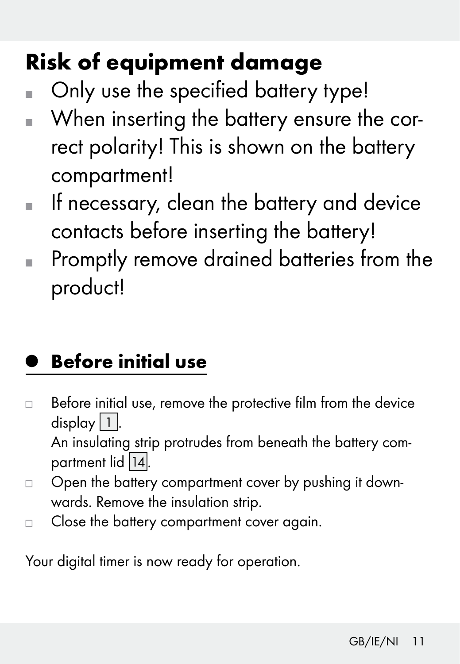# Risk of equipment damage

- Only use the specified battery type!
- When inserting the battery ensure the correct polarity! This is shown on the battery compartment!
- $\blacksquare$  If necessary, clean the battery and device contacts before inserting the battery!
- Promptly remove drained batteries from the product!

#### **Before initial use**

 $\Box$  Before initial use, remove the protective film from the device display  $\boxed{1}$ .

 An insulating strip protrudes from beneath the battery compartment lid 14

- $\Box$  Open the battery compartment cover by pushing it downwards. Remove the insulation strip.
- $\Box$  Close the battery compartment cover again.

Your digital timer is now ready for operation.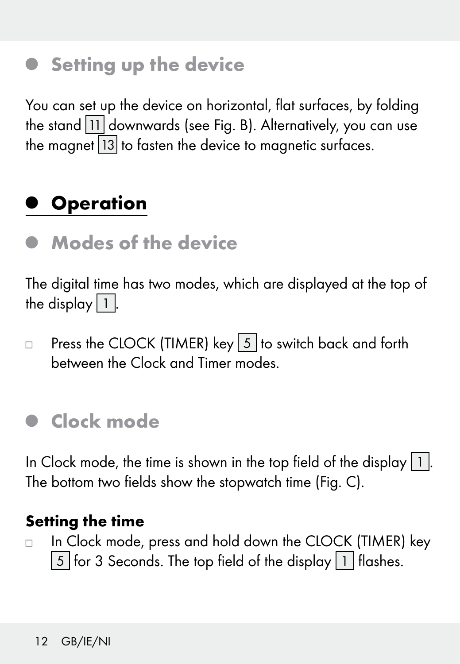#### $\bullet$  Setting up the device

You can set up the device on horizontal, flat surfaces, by folding the stand 11 downwards (see Fig. B). Alternatively, you can use the magnet 13 to fasten the device to magnetic surfaces.

#### **Operation**

 $\bullet$  Modes of the device

The digital time has two modes, which are displayed at the top of the display  $\boxed{1}$ .

**Press the CLOCK (TIMER) key**  $\overline{5}$  **to switch back and forth** between the Clock and Timer modes.

#### Clock mode

In Clock mode, the time is shown in the top field of the display  $|1|$ . The bottom two fields show the stopwatch time (Fig. C).

#### Setting the time

□ In Clock mode, press and hold down the CLOCK (TIMER) key 5 for 3 Seconds. The top field of the display 1 flashes.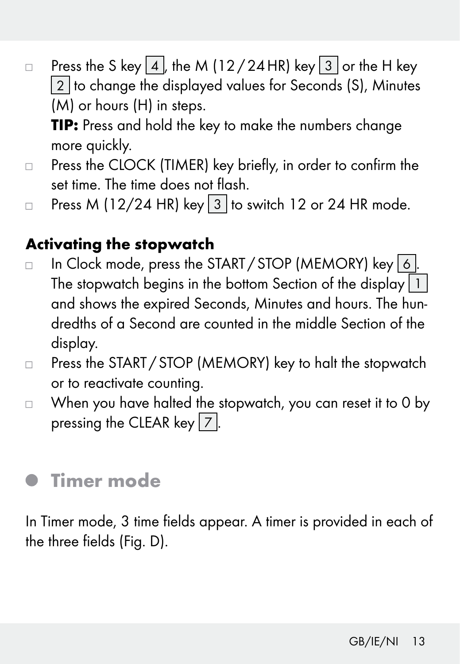Press the S key  $\boxed{4}$ , the M (12/24HR) key  $\boxed{3}$  or the H key 2 to change the displayed values for Seconds (S), Minutes (M) or hours (H) in steps.

 TIP: Press and hold the key to make the numbers change more quickly.

- □ Press the CLOCK (TIMER) key briefly, in order to confirm the set time. The time does not flash.
- Press M (12/24 HR) key  $\boxed{3}$  to switch 12 or 24 HR mode.

#### Activating the stopwatch

- $\Box$  In Clock mode, press the START / STOP (MEMORY) key  $\boxed{6}$ . The stopwatch begins in the bottom Section of the display  $\boxed{1}$ and shows the expired Seconds, Minutes and hours. The hundredths of a Second are counted in the middle Section of the display.
- □ Press the START / STOP (MEMORY) key to halt the stopwatch or to reactivate counting.
- $\Box$  When you have halted the stopwatch, you can reset it to 0 by pressing the CLEAR key  $\boxed{7}$ .

#### Timer mode

In Timer mode, 3 time fields appear. A timer is provided in each of the three fields (Fig. D).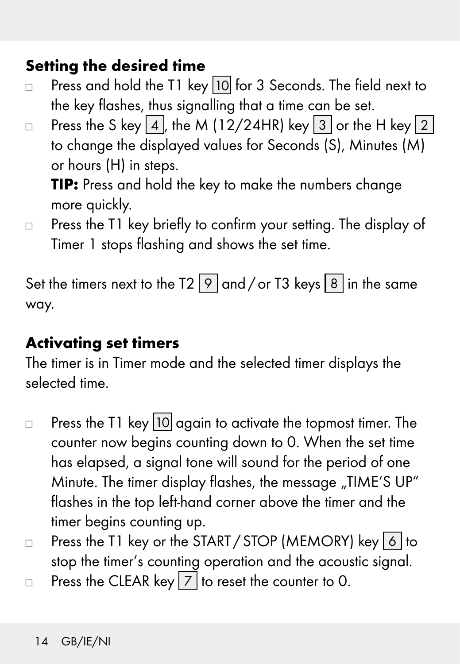#### Setting the desired time

- $\Box$  Press and hold the T1 key  $\overline{10}$  for 3 Seconds. The field next to the key flashes, thus signalling that a time can be set.
- Press the S key 4, the M (12/24HR) key  $\boxed{3}$  or the H key  $\boxed{2}$ to change the displayed values for Seconds (S), Minutes (M) or hours (H) in steps.

 TIP: Press and hold the key to make the numbers change more quickly.

 $\Box$  Press the T1 key briefly to confirm your setting. The display of Timer 1 stops flashing and shows the set time.

Set the timers next to the T2  $\boxed{9}$  and / or T3 keys  $\boxed{8}$  in the same way.

#### Activating set timers

The timer is in Timer mode and the selected timer displays the selected time.

 $\Box$  Press the T1 key 10 again to activate the topmost timer. The counter now begins counting down to 0. When the set time has elapsed, a signal tone will sound for the period of one Minute. The timer display flashes, the message "TIME'S UP" flashes in the top left-hand corner above the timer and the timer begins counting up.

 $\Box$  Press the T1 key or the START / STOP (MEMORY) key 6 to stop the timer's counting operation and the acoustic signal.

**Press the CLEAR key 7 to reset the counter to 0.**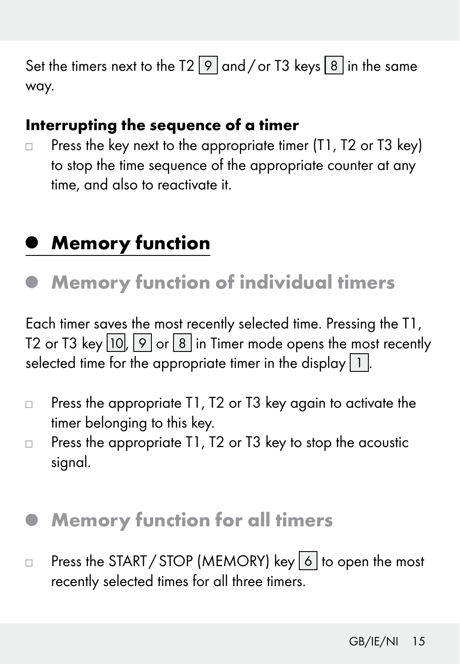Set the timers next to the T2  $\boxed{9}$  and / or T3 keys  $\boxed{8}$  in the same way.

#### Interrupting the sequence of a timer

 $\Box$  Press the key next to the appropriate timer (T1, T2 or T3 key) to stop the time sequence of the appropriate counter at any time, and also to reactivate it.

#### <sup>Q</sup> Memory function

**• Memory function of individual timers** 

Each timer saves the most recently selected time. Pressing the T1, T2 or T3 key  $\overline{10}$ ,  $\overline{9}$  or  $\overline{8}$  in Timer mode opens the most recently selected time for the appropriate timer in the display  $\boxed{1}$ .

- $\Box$  Press the appropriate T1, T2 or T3 key again to activate the timer belonging to this key.
- □ Press the appropriate T1, T2 or T3 key to stop the acoustic signal.
- Memory function for all timers
- $\Box$  Press the START / STOP (MEMORY) key 6 to open the most recently selected times for all three timers.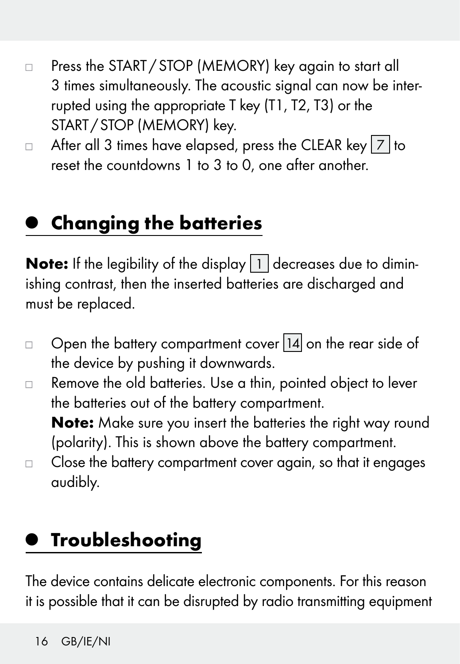- □ Press the START / STOP (MEMORY) key again to start all 3 times simultaneously. The acoustic signal can now be interrupted using the appropriate T key (T1, T2, T3) or the START/STOP (MEMORY) key.
- $\Box$  After all 3 times have elapsed, press the CLEAR key  $|7|$  to reset the countdowns 1 to 3 to 0, one after another.

## **Changing the batteries**

**Note:** If the legibility of the display  $\boxed{1}$  decreases due to diminishing contrast, then the inserted batteries are discharged and must be replaced.

- $\Box$  Open the battery compartment cover  $\Box$  on the rear side of the device by pushing it downwards.
- $\Box$  Remove the old batteries. Use a thin, pointed object to lever the batteries out of the battery compartment.

Note: Make sure you insert the batteries the right way round (polarity). This is shown above the battery compartment.

 $\Box$  Close the battery compartment cover again, so that it engages audibly.

### **•** Troubleshooting

The device contains delicate electronic components. For this reason it is possible that it can be disrupted by radio transmitting equipment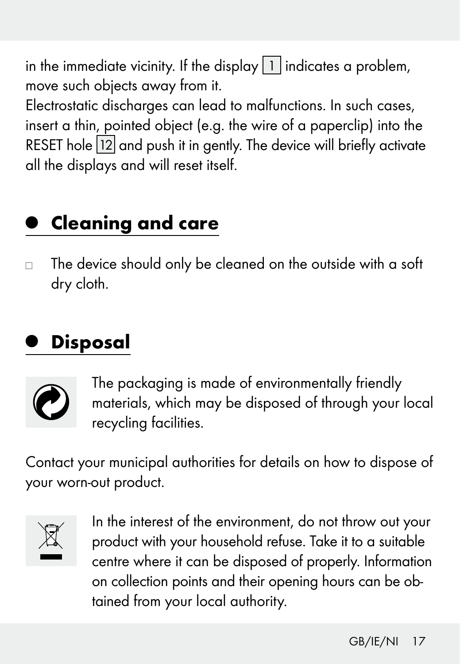in the immediate vicinity. If the display  $\boxed{1}$  indicates a problem, move such objects away from it.

Electrostatic discharges can lead to malfunctions. In such cases, insert a thin, pointed object (e.g. the wire of a paperclip) into the RESET hole 12 and push it in gently. The device will briefly activate all the displays and will reset itself.

## Cleaning and care

 $\Box$  The device should only be cleaned on the outside with a soft dry cloth.

## **Disposal**



The packaging is made of environmentally friendly materials, which may be disposed of through your local recycling facilities.

Contact your municipal authorities for details on how to dispose of your worn-out product.



In the interest of the environment, do not throw out your product with your household refuse. Take it to a suitable centre where it can be disposed of properly. Information on collection points and their opening hours can be obtained from your local authority.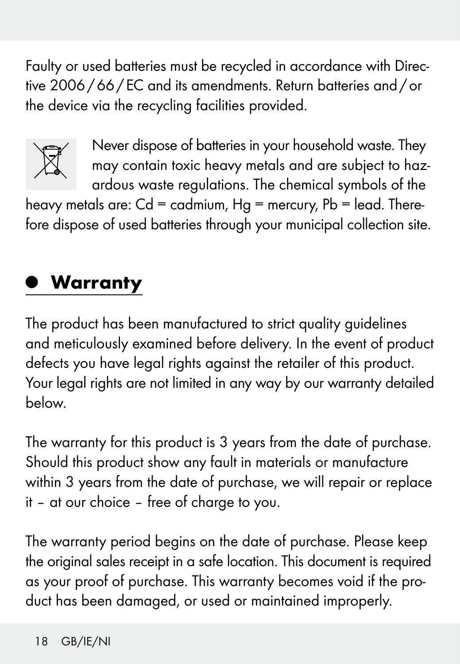Faulty or used batteries must be recycled in accordance with Directive 2006/66/EC and its amendments. Return batteries and/or the device via the recycling facilities provided.



Never dispose of batteries in your household waste. They may contain toxic heavy metals and are subject to hazardous waste regulations. The chemical symbols of the

heavy metals are:  $Cd = \text{cadmium}$ ,  $Hg = \text{mercury}$ ,  $Pb = \text{lead}$ . Therefore dispose of used batteries through your municipal collection site.

## Warranty

The product has been manufactured to strict quality guidelines and meticulously examined before delivery. In the event of product defects you have legal rights against the retailer of this product. Your legal rights are not limited in any way by our warranty detailed below.

The warranty for this product is 3 years from the date of purchase. Should this product show any fault in materials or manufacture within 3 years from the date of purchase, we will repair or replace it – at our choice – free of charge to you.

The warranty period begins on the date of purchase. Please keep the original sales receipt in a safe location. This document is required as your proof of purchase. This warranty becomes void if the product has been damaged, or used or maintained improperly.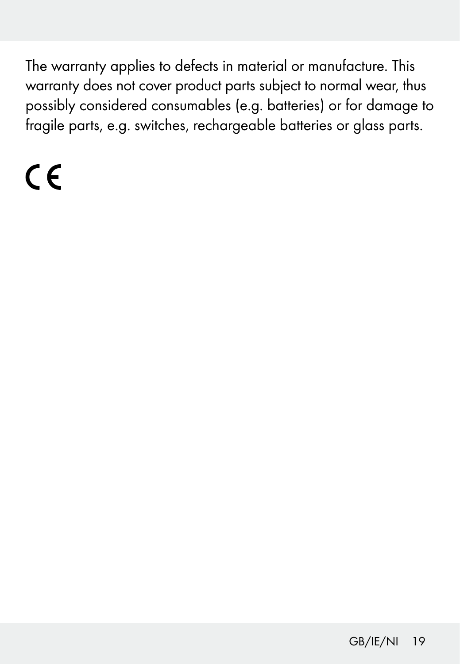The warranty applies to defects in material or manufacture. This warranty does not cover product parts subject to normal wear, thus possibly considered consumables (e.g. batteries) or for damage to fragile parts, e.g. switches, rechargeable batteries or glass parts.

# $\epsilon$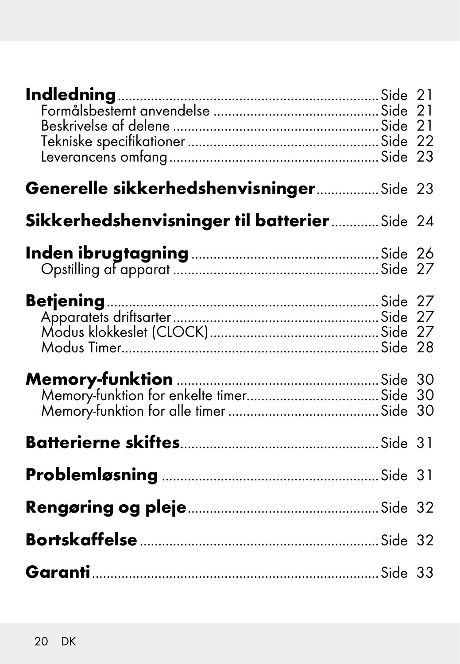| Generelle sikkerhedshenvisninger Side 23     |  |
|----------------------------------------------|--|
| Sikkerhedshenvisninger til batterier Side 24 |  |
|                                              |  |
|                                              |  |
|                                              |  |
|                                              |  |
|                                              |  |
|                                              |  |
|                                              |  |
|                                              |  |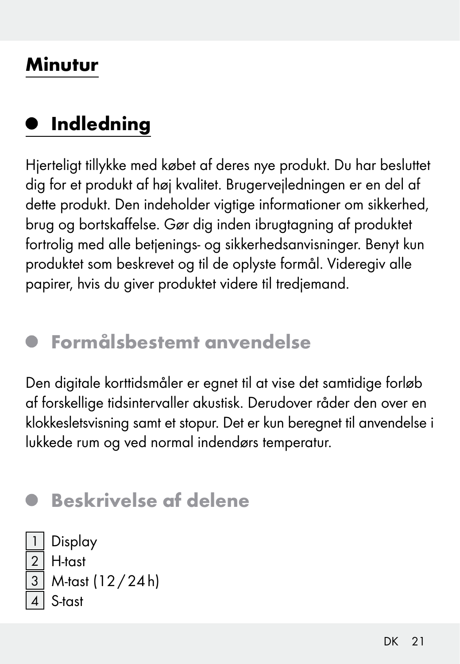#### Minutur

#### **Indledning**

Hierteliat tillykke med købet af deres nye produkt. Du har besluttet dig for et produkt af høj kvalitet. Brugervejledningen er en del af dette produkt. Den indeholder vigtige informationer om sikkerhed, brug og bortskaffelse. Gør dig inden ibrugtagning af produktet fortrolig med alle betjenings- og sikkerhedsanvisninger. Benyt kun produktet som beskrevet og til de oplyste formål. Videregiv alle papirer, hvis du giver produktet videre til tredjemand.

#### Formålsbestemt anvendelse

Den digitale korttidsmåler er egnet til at vise det samtidige forløb af forskellige tidsintervaller akustisk. Derudover råder den over en klokkesletsvisning samt et stopur. Det er kun beregnet til anvendelse i lukkede rum og ved normal indendørs temperatur.

#### Beskrivelse af delene

**Display** H-tast 3 M-tast (12/24h) S-tast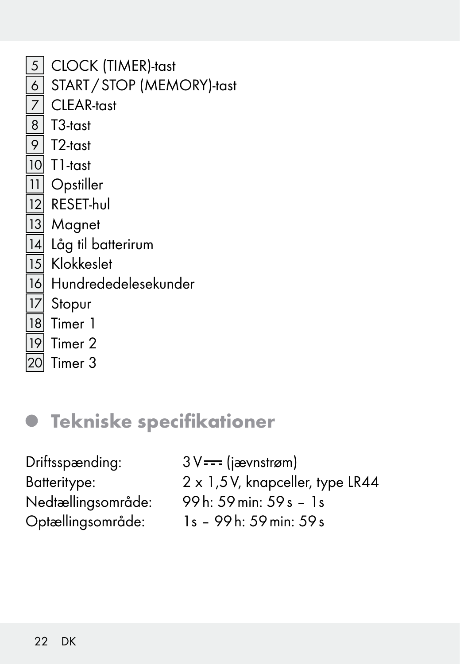5 CLOCK (TIMER)-tast START / STOP (MEMORY)-tast 7 CLEAR-tast 8 T3-tast 9 T2-tast 10 T1-tast 11 Opstiller 12 RESET-hul 13 Magnet 14 Låg til batterirum 15 Klokkeslet 16 Hundrededelesekunder<br>17 Stopur 17 Stopur 18 Timer 1 19 Timer 2 20 Timer 3

#### **• Tekniske specifikationer**

Driftsspænding: 3V<del> =</del> (jævnstrøm)

Batteritype: 2 x 1,5V, knapceller, type LR44 Nedtællingsområde: 99h: 59min: 59s – 1s Optællingsområde: 1s – 99h: 59min: 59s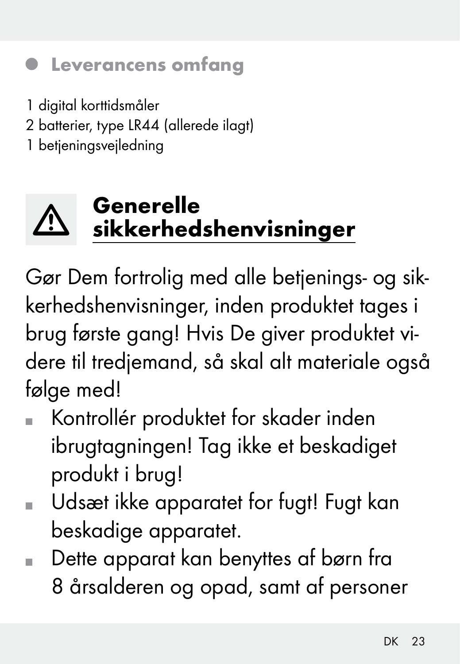

- 1 digital korttidsmåler
- 2 batterier, type LR44 (allerede ilagt)
- 1 betjeningsvejledning



## Generelle sikkerhedshenvisninger

Gør Dem fortrolig med alle betjenings- og sikkerhedshenvisninger, inden produktet tages i brug første gang! Hvis De giver produktet videre til tredjemand, så skal alt materiale også følge med!

- Kontrollér produktet for skader inden ibrugtagningen! Tag ikke et beskadiget produkt i brug!
- Udsæt ikke apparatet for fugt! Fugt kan beskadige apparatet.
- Dette apparat kan benyttes af børn fra 8 årsalderen og opad, samt af personer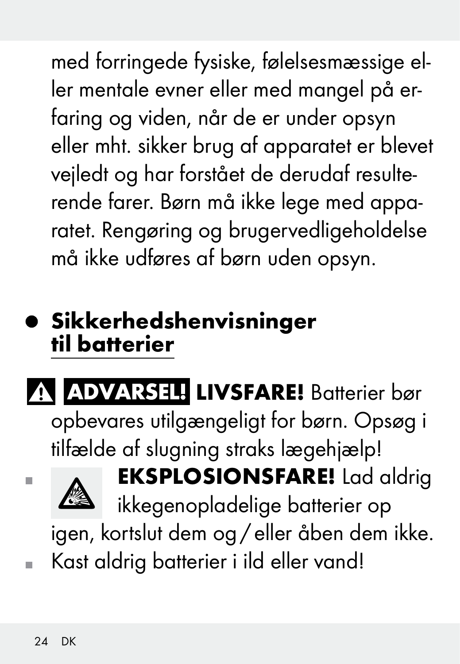med forringede fysiske, følelsesmæssige eller mentale evner eller med mangel på erfaring og viden, når de er under opsyn eller mht. sikker brug af apparatet er blevet vejledt og har forstået de derudaf resulterende farer. Børn må ikke lege med apparatet. Rengøring og brugervedligeholdelse må ikke udføres af børn uden opsyn.

# Sikkerhedshenvisninger til batterier



 opbevares utilgængeligt for børn. Opsøg i tilfælde af slugning straks lægehjælp!



**EKSPLOSIONSFARE!** Lad aldrig

ikkegenopladelige batterier op

igen, kortslut dem og/ eller åben dem ikke.

Kast aldrig batterier i ild eller vand!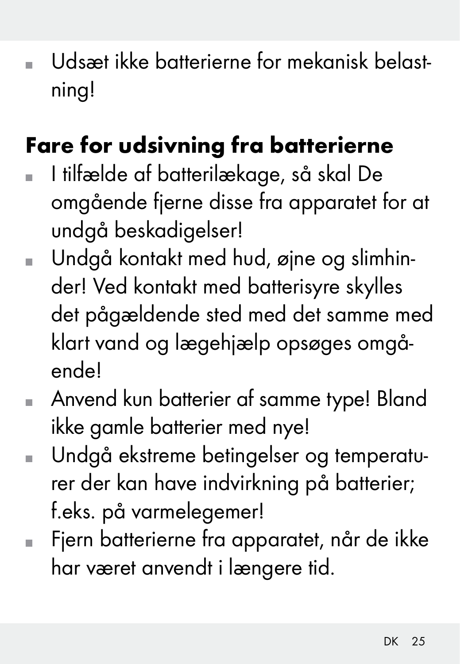Udsæt ikke batterierne for mekanisk belastning!

# Fare for udsivning fra batterierne

- I tilfælde af batterilækage, så skal De omgående fjerne disse fra apparatet for at undgå beskadigelser!
- Undgå kontakt med hud, øjne og slimhinder! Ved kontakt med batterisyre skylles det pågældende sted med det samme med klart vand og lægehjælp opsøges omgående!
- Anvend kun batterier af samme type! Bland ikke gamle batterier med nye!
- Undgå ekstreme betingelser og temperaturer der kan have indvirkning på batterier; f.eks. på varmelegemer!
- Fjern batterierne fra apparatet, når de ikke har været anvendt i længere tid.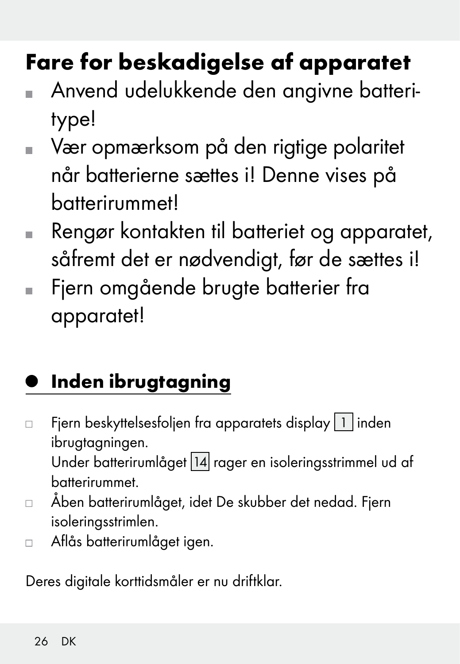# Fare for beskadigelse af apparatet

- Anvend udelukkende den angivne batteritype!
- Vær opmærksom på den rigtige polaritet når batterierne sættes i! Denne vises på batterirummet!
- Rengør kontakten til batteriet og apparatet, såfremt det er nødvendigt, før de sættes i!
- Fjern omgående brugte batterier fra apparatet!

# Inden ibrugtagning

- $\Box$  Fjern beskyttelsesfoljen fra apparatets display  $\Box$  inden ibrugtagningen. Under batterirumlåget 14 rager en isoleringsstrimmel ud af batterirummet.
- Åben batterirumlåget, idet De skubber det nedad. Fjern isoleringsstrimlen.
- Aflås batterirumlåget igen.

Deres digitale korttidsmåler er nu driftklar.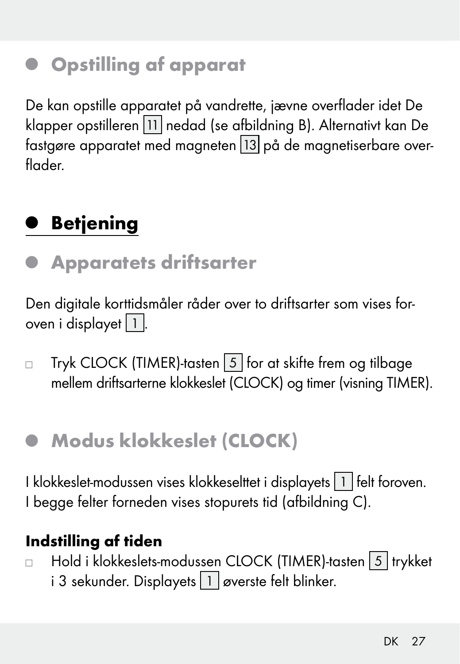## Opstilling af apparat

De kan opstille apparatet på vandrette, jævne overflader idet De klapper opstilleren 11 nedad (se afbildning B). Alternativt kan De fastgøre apparatet med magneten 13 på de magnetiserbare overflader.

## **Betjening**

#### Apparatets driftsarter

Den digitale korttidsmåler råder over to driftsarter som vises foroven i displayet 1.

 $\Box$  Tryk CLOCK (TIMER)-tasten  $\boxed{5}$  for at skifte frem og tilbage mellem driftsarterne klokkeslet (CLOCK) og timer (visning TIMER).

#### $\bullet$  Modus klokkeslet (CLOCK)

I klokkeslet-modussen vises klokkeselttet i displayets 1 felt foroven. I begge felter forneden vises stopurets tid (afbildning C).

#### Indstilling af tiden

□ Hold i klokkeslets-modussen CLOCK (TIMER)-tasten 5 trykket i 3 sekunder. Displayets  $\boxed{1}$  øverste felt blinker.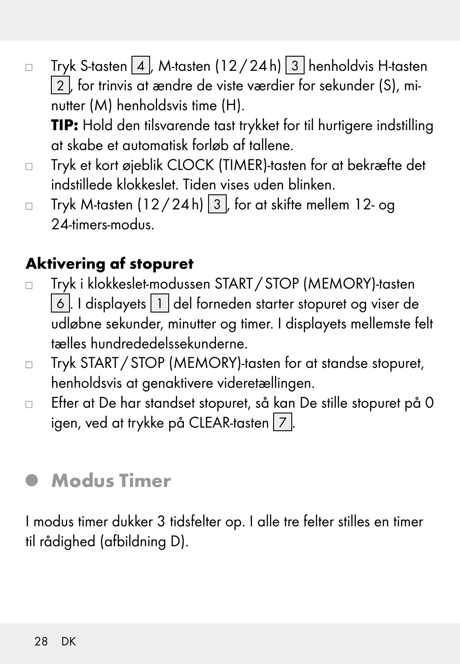$\Box$  Tryk S-tasten  $\boxed{4}$ , M-tasten (12/24h)  $\boxed{3}$  henholdvis H-tasten  $\boxed{2}$ . for trinvis at ændre de viste værdier for sekunder (S), minutter (M) henholdsvis time (H).

 TIP: Hold den tilsvarende tast trykket for til hurtigere indstilling at skabe et automatisk forløb af tallene.

- □ Tryk et kort øjeblik CLOCK (TIMER)-tasten for at bekræfte det indstillede klokkeslet. Tiden vises uden blinken.
- $\Box$  Tryk M-tasten (12/24h)  $\boxed{3}$ , for at skifte mellem 12- og 24-timers-modus.

#### Aktivering af stopuret

- □ Tryk i klokkeslet-modussen START / STOP (MEMORY)-tasten  $\boxed{6}$ . I displayets  $\boxed{1}$  del forneden starter stopuret og viser de udløbne sekunder, minutter og timer. I displayets mellemste felt tælles hundrededelssekunderne.
- □ Tryk START / STOP (MEMORY)-tasten for at standse stopuret, henholdsvis at genaktivere videretællingen.
- Efter at De har standset stopuret, så kan De stille stopuret på 0 igen, ved at trykke på CLEAR-tasten 7.

#### Modus Timer

I modus timer dukker 3 tidsfelter op. I alle tre felter stilles en timer til rådighed (afbildning D).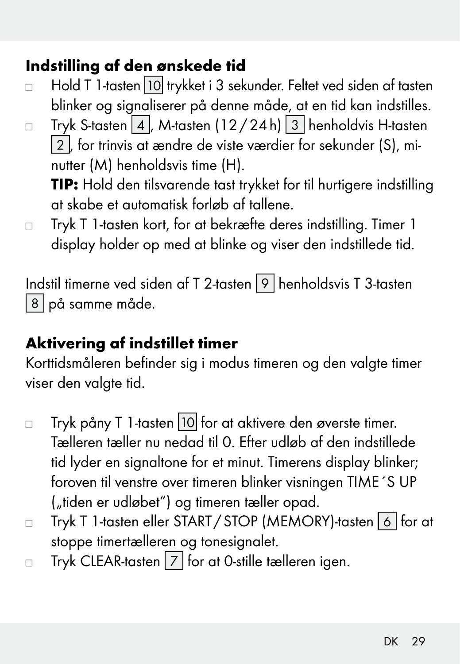#### Indstilling af den ønskede tid

- $\Box$  Hold T 1-tasten  $\overline{10}$  trykket i 3 sekunder. Feltet ved siden af tasten blinker og signaliserer på denne måde, at en tid kan indstilles.
- $\Box$  Tryk S-tasten  $\boxed{4}$ , M-tasten (12/24h)  $\boxed{3}$  henholdvis H-tasten 2 , for trinvis at ændre de viste værdier for sekunder (S), minutter (M) henholdsvis time (H).

 TIP: Hold den tilsvarende tast trykket for til hurtigere indstilling at skabe et automatisk forløb af tallene.

□ Tryk T 1-tasten kort, for at bekræfte deres indstilling. Timer 1 display holder op med at blinke og viser den indstillede tid.

Indstil timerne ved siden af T 2-tasten  $\boxed{9}$  henholdsvis T 3-tasten 8 på samme måde.

#### Aktivering af indstillet timer

Korttidsmåleren befinder sig i modus timeren og den valgte timer viser den valgte tid.

- □ Tryk påny T 1-tasten 10 for at aktivere den øverste timer. Tælleren tæller nu nedad til 0. Efter udløb af den indstillede tid lyder en signaltone for et minut. Timerens display blinker; foroven til venstre over timeren blinker visningen TIME´S UP ("tiden er udløbet") og timeren tæller opad.
- □ Tryk T 1-tasten eller START / STOP (MEMORY)-tasten 6 for at stoppe timertælleren og tonesignalet.
- $\Box$  Tryk CLEAR-tasten  $\boxed{7}$  for at 0-stille tælleren igen.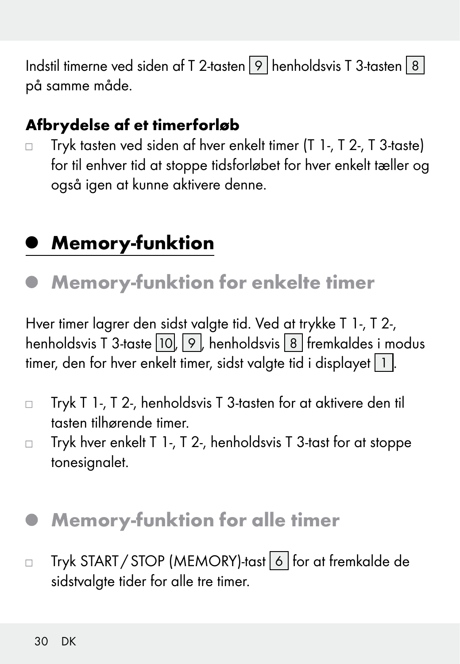Indstil timerne ved siden af T 2-tasten 9 henholdsvis T 3-tasten 8 på samme måde.

#### Afbrydelse af et timerforløb

□ Tryk tasten ved siden af hver enkelt timer (T 1-, T 2-, T 3-taste) for til enhver tid at stoppe tidsforløbet for hver enkelt tæller og også igen at kunne aktivere denne.

#### <sup>Q</sup> Memory-funktion

#### Memory-funktion for enkelte timer

Hver timer lagrer den sidst valgte tid. Ved at trykke T 1-, T 2-, henholdsvis T 3-taste  $\overline{10}$ ,  $\overline{9}$ , henholdsvis  $\overline{8}$  fremkaldes i modus timer, den for hver enkelt timer, sidst valgte tid i displayet  $\boxed{1}$ .

- □ Tryk T 1-, T 2-, henholdsvis T 3-tasten for at aktivere den til tasten tilhørende timer.
- Tryk hver enkelt T 1-, T 2-, henholdsvis T 3-tast for at stoppe tonesignalet.

#### Memory-funktion for alle timer

□ Tryk START / STOP (MEMORY)-tast 6 for at fremkalde de sidstvalgte tider for alle tre timer.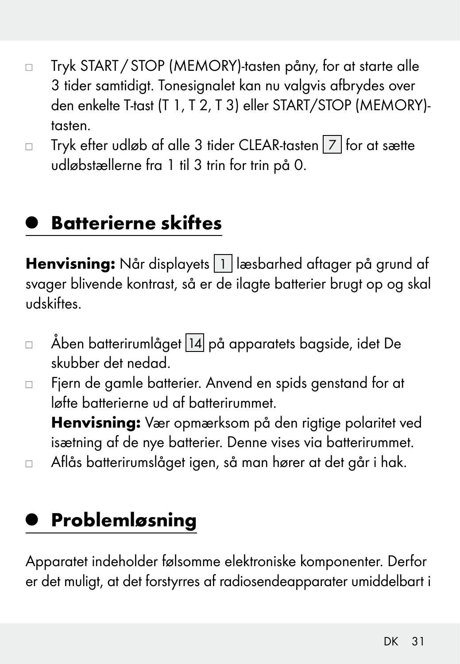- □ Tryk START / STOP (MEMORY)-tasten påny, for at starte alle 3 tider samtidigt. Tonesignalet kan nu valgvis afbrydes over den enkelte T-tast (T 1, T 2, T 3) eller START/STOP (MEMORY) tasten.
- $\Box$  Tryk efter udløb af alle 3 tider CLEAR-tasten  $\boxed{7}$  for at sætte udløbstællerne fra 1 til 3 trin for trin på 0.

#### <sup>Q</sup> Batterierne skiftes

Henvisning: Når displayets 1 læsbarhed aftager på grund af svager blivende kontrast, så er de ilagte batterier brugt op og skal udskiftes.

- Åben batterirumlåget 14 på apparatets bagside, idet De skubber det nedad.
- □ Fjern de gamle batterier. Anvend en spids genstand for at løfte batterierne ud af batterirummet.

Henvisning: Vær opmærksom på den rigtige polaritet ved isætning af de nye batterier. Denne vises via batterirummet.

Aflås batterirumslåget igen, så man hører at det går i hak.

#### <sup>Q</sup> Problemløsning

Apparatet indeholder følsomme elektroniske komponenter. Derfor er det muligt, at det forstyrres af radiosendeapparater umiddelbart i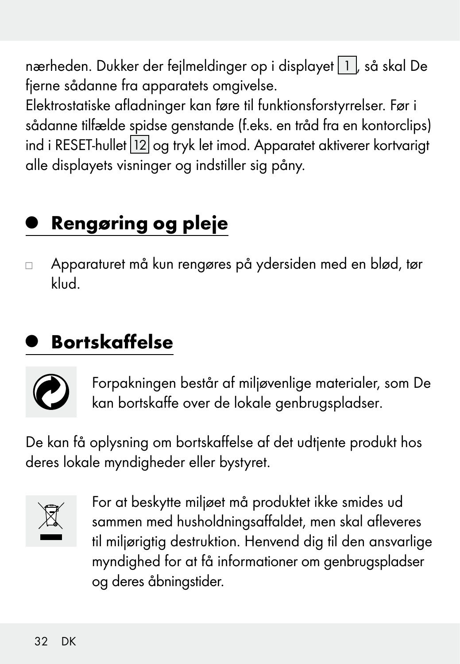nærheden. Dukker der fejlmeldinger op i displayet 11, så skal De fjerne sådanne fra apparatets omgivelse.

Elektrostatiske afladninger kan føre til funktionsforstyrrelser. Før i sådanne tilfælde spidse genstande (f.eks. en tråd fra en kontorclips) ind i RESET-hullet 12 og tryk let imod. Apparatet aktiverer kortvarigt alle displayets visninger og indstiller sig påny.

# Rengøring og pleje

 Apparaturet må kun rengøres på ydersiden med en blød, tør klud.

## **Bortskaffelse**



Forpakningen består af miljøvenlige materialer, som De kan bortskaffe over de lokale genbrugspladser.

De kan få oplysning om bortskaffelse af det udtjente produkt hos deres lokale myndigheder eller bystyret.



For at beskytte miljøet må produktet ikke smides ud sammen med husholdningsaffaldet, men skal afleveres til miljørigtig destruktion. Henvend dig til den ansvarlige myndighed for at få informationer om genbrugspladser og deres åbningstider.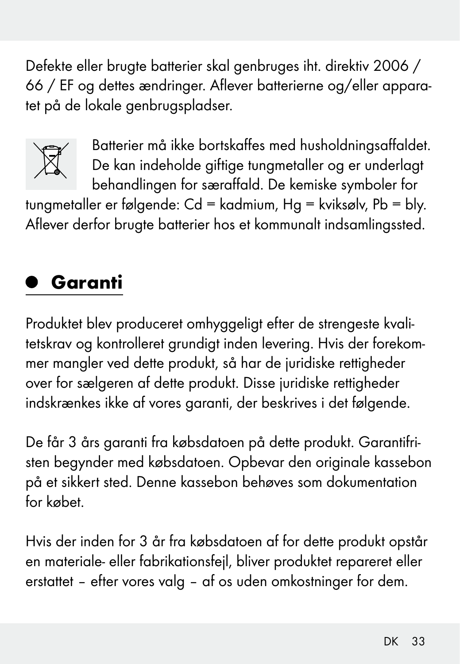Defekte eller brugte batterier skal genbruges iht. direktiv 2006 / 66 / EF og dettes ændringer. Aflever batterierne og/eller apparatet på de lokale genbrugspladser.



Batterier må ikke bortskaffes med husholdningsaffaldet. De kan indeholde giftige tungmetaller og er underlagt behandlingen for særaffald. De kemiske symboler for

tungmetaller er følgende: Cd = kadmium, Hg = kviksølv, Pb = bly. Aflever derfor brugte batterier hos et kommunalt indsamlingssted.

## Garanti

Produktet blev produceret omhyggeligt efter de strengeste kvalitetskrav og kontrolleret grundigt inden levering. Hvis der forekommer mangler ved dette produkt, så har de juridiske rettigheder over for sælgeren af dette produkt. Disse juridiske rettigheder indskrænkes ikke af vores garanti, der beskrives i det følgende.

De får 3 års garanti fra købsdatoen på dette produkt. Garantifristen begynder med købsdatoen. Opbevar den originale kassebon på et sikkert sted. Denne kassebon behøves som dokumentation for købet.

Hvis der inden for 3 år fra købsdatoen af for dette produkt opstår en materiale- eller fabrikationsfejl, bliver produktet repareret eller erstattet – efter vores valg – af os uden omkostninger for dem.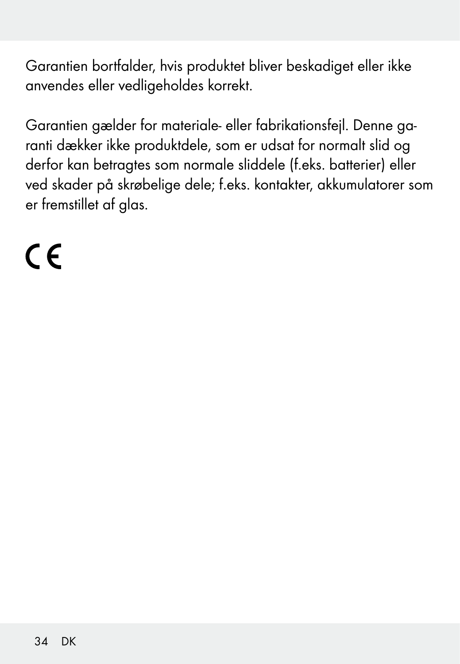Garantien bortfalder, hvis produktet bliver beskadiget eller ikke anvendes eller vedligeholdes korrekt.

Garantien gælder for materiale- eller fabrikationsfejl. Denne garanti dækker ikke produktdele, som er udsat for normalt slid og derfor kan betragtes som normale sliddele (f.eks. batterier) eller ved skader på skrøbelige dele; f.eks. kontakter, akkumulatorer som er fremstillet af glas.

 $\epsilon$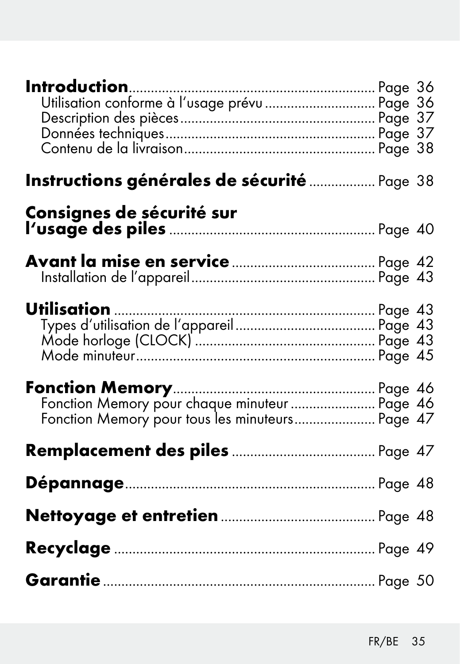| Utilisation conforme à l'usage prévu  Page 36                                                    |  |
|--------------------------------------------------------------------------------------------------|--|
| Instructions générales de sécurité  Page 38                                                      |  |
| Consignes de sécurité sur                                                                        |  |
|                                                                                                  |  |
|                                                                                                  |  |
| Fonction Memory pour chaque minuteur  Page 46<br>Fonction Memory pour tous les minuteurs Page 47 |  |
|                                                                                                  |  |
|                                                                                                  |  |
|                                                                                                  |  |
|                                                                                                  |  |
|                                                                                                  |  |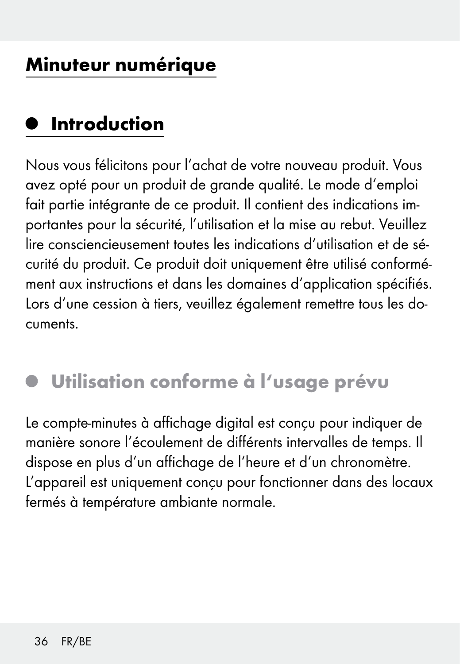#### Minuteur numérique

#### Introduction

Nous vous félicitons pour l'achat de votre nouveau produit. Vous avez opté pour un produit de grande qualité. Le mode d'emploi fait partie intégrante de ce produit. Il contient des indications importantes pour la sécurité, l'utilisation et la mise au rebut. Veuillez lire consciencieusement toutes les indications d'utilisation et de sécurité du produit. Ce produit doit uniquement être utilisé conformément aux instructions et dans les domaines d'application spécifiés. Lors d'une cession à tiers, veuillez également remettre tous les documents.

#### Utilisation conforme à l'usage prévu

Le compte-minutes à affichage digital est conçu pour indiquer de manière sonore l'écoulement de différents intervalles de temps. Il dispose en plus d'un affichage de l'heure et d'un chronomètre. L'appareil est uniquement conçu pour fonctionner dans des locaux fermés à température ambiante normale.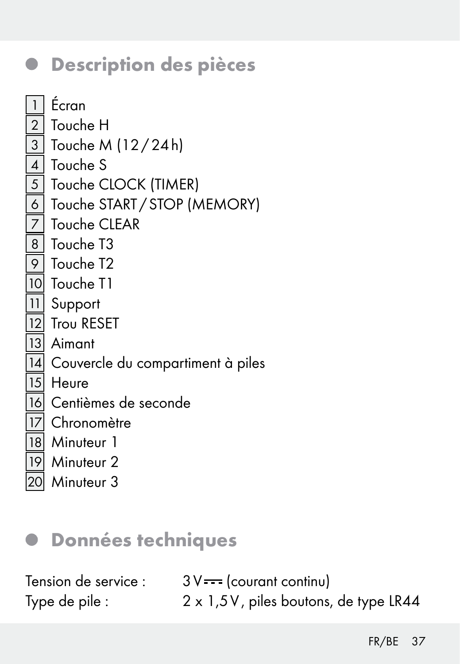### Description des pièces

| l                        |  |
|--------------------------|--|
|                          |  |
|                          |  |
| $\ddot{\phantom{a}}$     |  |
|                          |  |
| $\overline{\phantom{a}}$ |  |
|                          |  |
|                          |  |
|                          |  |
|                          |  |
|                          |  |
|                          |  |
|                          |  |
| 1                        |  |
| ľ<br>=                   |  |
|                          |  |

 $\Box$  Écran 2 Touche H 3 Touche M (12/24h) 4 Touche S 5 Touche CLOCK (TIMER) Touche START / STOP (MEMORY) 7 Touche CLEAR 8 Touche T3 9 Touche T2 10 Touche T1 Support Trou RESET Aimant Couvercle du compartiment à piles **Heure** Centièmes de seconde Chronomètre Minuteur 1

Minuteur 2

20 Minuteur 3

### $\bullet$  Données techniques

| Tension de service : | $3V$ $\equiv$ (courant continu)        |
|----------------------|----------------------------------------|
| Type de pile :       | 2 x 1,5 V, piles boutons, de type LR44 |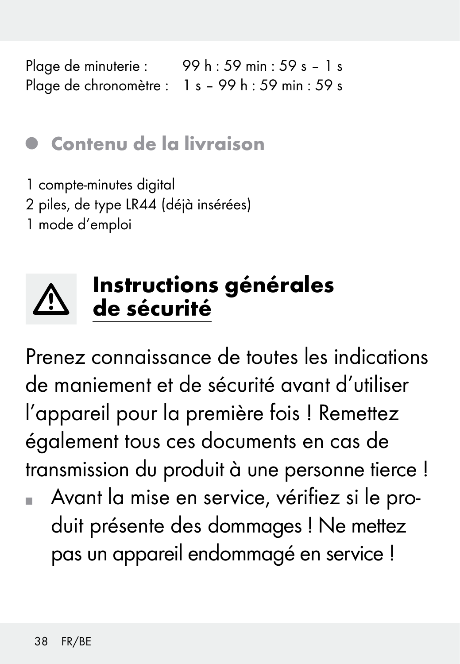Plage de minuterie : 99 h : 59 min : 59 s - 1 s Plage de chronomètre : 1 s - 99 h : 59 min : 59 s

Contenu de la livraison

1 compte-minutes digital 2 piles, de type LR44 (déjà insérées) 1 mode d'emploi



### Instructions générales de sécurité

Prenez connaissance de toutes les indications de maniement et de sécurité avant d'utiliser l'appareil pour la première fois ! Remettez également tous ces documents en cas de transmission du produit à une personne tierce !

 Avant la mise en service, vérifiez si le produit présente des dommages ! Ne mettez pas un appareil endommagé en service !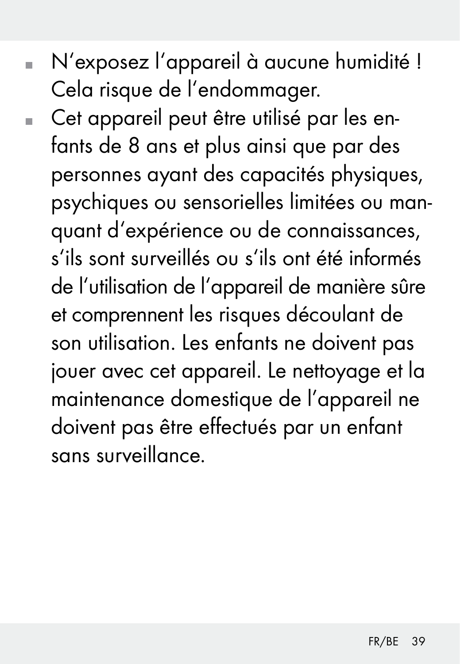- N'exposez l'appareil à aucune humidité ! Cela risque de l'endommager.
- Cet appareil peut être utilisé par les enfants de 8 ans et plus ainsi que par des personnes ayant des capacités physiques, psychiques ou sensorielles limitées ou manquant d'expérience ou de connaissances, s'ils sont surveillés ou s'ils ont été informés de l'utilisation de l'appareil de manière sûre et comprennent les risques découlant de son utilisation. Les enfants ne doivent pas jouer avec cet appareil. Le nettoyage et la maintenance domestique de l'appareil ne doivent pas être effectués par un enfant sans surveillance.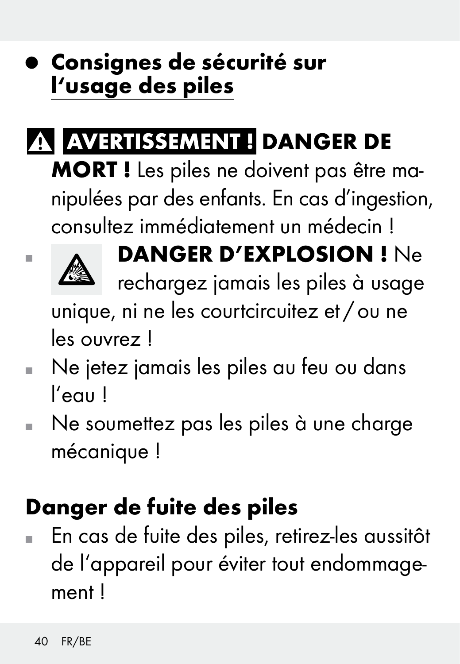## Consignes de sécurité sur l'usage des piles

## **A AVERTISSEMENT! DANGER DE**

 MORT ! Les piles ne doivent pas être manipulées par des enfants. En cas d'ingestion, consultez immédiatement un médecin !



## **A** DANGER D'EXPLOSION ! Ne

rechargez jamais les piles à usage

unique, ni ne les courtcircuitez et / ou ne les ouvrez !

- Ne jetez jamais les piles au feu ou dans l'eau !
- Ne soumettez pas les piles à une charge mécanique !

## Danger de fuite des piles

 En cas de fuite des piles, retirez-les aussitôt de l'appareil pour éviter tout endommagement !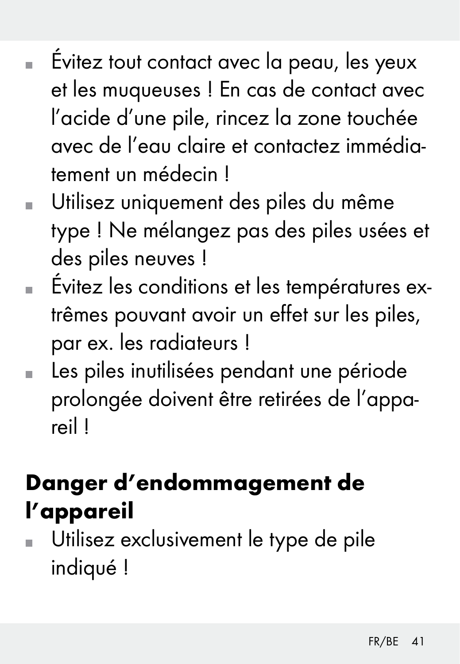- Évitez tout contact avec la peau, les yeux et les muqueuses ! En cas de contact avec l'acide d'une pile, rincez la zone touchée avec de l'eau claire et contactez immédiatement un médecin !
- Utilisez uniquement des piles du même type ! Ne mélangez pas des piles usées et des piles neuves !
- Évitez les conditions et les températures extrêmes pouvant avoir un effet sur les piles, par ex. les radiateurs !
- Les piles inutilisées pendant une période prolongée doivent être retirées de l'appareil !

## Danger d'endommagement de l'appareil

 Utilisez exclusivement le type de pile indiqué !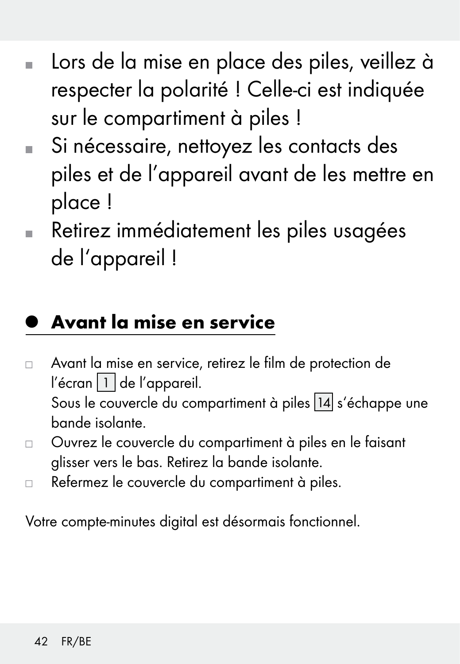- Lors de la mise en place des piles, veillez à respecter la polarité ! Celle-ci est indiquée sur le compartiment à piles !
- Si nécessaire, nettoyez les contacts des piles et de l'appareil avant de les mettre en place !
- Retirez immédiatement les piles usagées de l'appareil !

### <sup>Q</sup> Avant la mise en service

- Avant la mise en service, retirez le film de protection de l'écran<sup>1</sup> de l'appareil. Sous le couvercle du compartiment à piles 14 s'échappe une bande isolante.
- Ouvrez le couvercle du compartiment à piles en le faisant glisser vers le bas. Retirez la bande isolante.
- Refermez le couvercle du compartiment à piles.

Votre compte-minutes digital est désormais fonctionnel.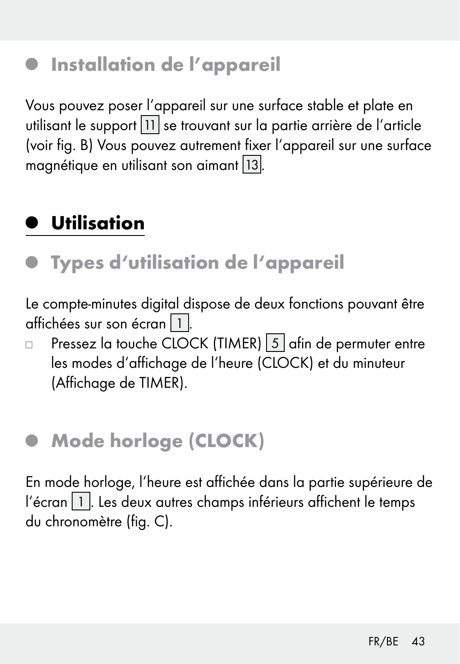### **•** Installation de l'appareil

Vous pouvez poser l'appareil sur une surface stable et plate en utilisant le support  $\boxed{11}$  se trouvant sur la partie arrière de l'article (voir fig. B) Vous pouvez autrement fixer l'appareil sur une surface magnétique en utilisant son aimant 13 .

### $U$ tilisation

### Types d'utilisation de l'appareil

Le compte-minutes digital dispose de deux fonctions pouvant être affichées sur son écran 1

 $\Box$  Pressez la touche CLOCK (TIMER)  $\boxed{5}$  afin de permuter entre les modes d'affichage de l'heure (CLOCK) et du minuteur (Affichage de TIMER).

### ● Mode horloge (CLOCK)

En mode horloge, l'heure est affichée dans la partie supérieure de l'écran  $\boxed{1}$ . Les deux autres champs inférieurs affichent le temps du chronomètre (fig. C).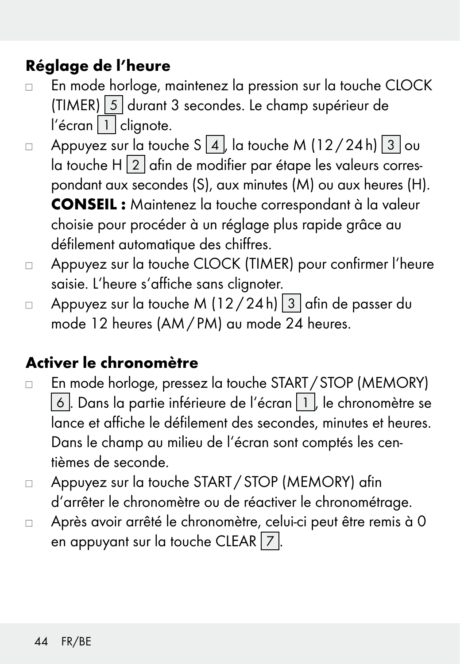#### Réglage de l'heure

- En mode horloge, maintenez la pression sur la touche CLOCK (TIMER) 5 durant 3 secondes. Le champ supérieur de  $l'$ écran  $\boxed{1}$  clianote.
- Appuyez sur la touche S  $\boxed{4}$ , la touche M (12/24h)  $\boxed{3}$  ou la touche H $\sqrt{2}$  afin de modifier par étape les valeurs correspondant aux secondes (S), aux minutes (M) ou aux heures (H). CONSEIL : Maintenez la touche correspondant à la valeur choisie pour procéder à un réglage plus rapide grâce au défilement automatique des chiffres.
- Appuyez sur la touche CLOCK (TIMER) pour confirmer l'heure saisie. L'heure s'affiche sans clignoter.
- Appuyez sur la touche M (12/24h)  $\boxed{3}$  afin de passer du mode 12 heures (AM/ PM) au mode 24 heures.

#### Activer le chronomètre

- En mode horloge, pressez la touche START/STOP (MEMORY) 6 . Dans la partie inférieure de l'écran 1 , le chronomètre se lance et affiche le défilement des secondes, minutes et heures. Dans le champ au milieu de l'écran sont comptés les centièmes de seconde.
- □ Appuyez sur la touche START / STOP (MEMORY) afin d'arrêter le chronomètre ou de réactiver le chronométrage.
- Après avoir arrêté le chronomètre, celui-ci peut être remis à 0 en appuyant sur la touche CLEAR  $\overline{7}$ .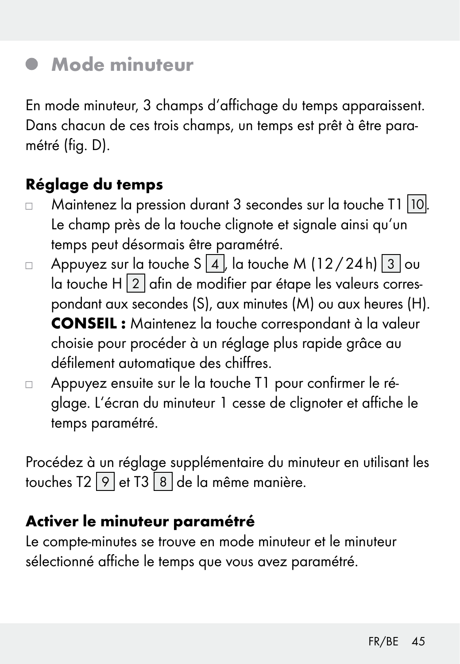### Mode minuteur

En mode minuteur, 3 champs d'affichage du temps apparaissent. Dans chacun de ces trois champs, un temps est prêt à être paramétré (fig. D).

#### Réglage du temps

- □ Maintenez la pression durant 3 secondes sur la touche T1 |10. Le champ près de la touche clignote et signale ainsi qu'un temps peut désormais être paramétré.
- Appuyez sur la touche S  $\boxed{4}$ , la touche M (12/24h)  $\boxed{3}$  ou la touche H $\sqrt{2}$  afin de modifier par étape les valeurs correspondant aux secondes (S), aux minutes (M) ou aux heures (H). CONSEIL : Maintenez la touche correspondant à la valeur choisie pour procéder à un réglage plus rapide grâce au défilement automatique des chiffres.
- Appuyez ensuite sur le la touche T1 pour confirmer le réglage. L'écran du minuteur 1 cesse de clignoter et affiche le temps paramétré.

Procédez à un réglage supplémentaire du minuteur en utilisant les touches T2 9 et T3 8 de la même manière.

#### Activer le minuteur paramétré

Le compte-minutes se trouve en mode minuteur et le minuteur sélectionné affiche le temps que vous avez paramétré.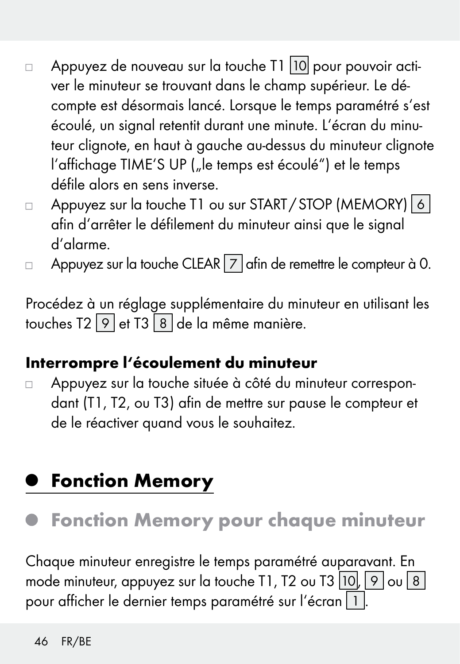- $\Box$  Appuyez de nouveau sur la touche T1 10 pour pouvoir activer le minuteur se trouvant dans le champ supérieur. Le décompte est désormais lancé. Lorsque le temps paramétré s'est écoulé, un signal retentit durant une minute. L'écran du minuteur clignote, en haut à gauche au-dessus du minuteur clignote l'affichage TIME'S UP ("le temps est écoulé") et le temps défile alors en sens inverse.
- Appuyez sur la touche T1 ou sur START / STOP (MEMORY) 6 afin d'arrêter le défilement du minuteur ainsi que le signal d'alarme.
- Appuyez sur la touche CLEAR 7 afin de remettre le compteur à 0.  $\Box$

Procédez à un réglage supplémentaire du minuteur en utilisant les touches T2  $\boxed{9}$  et T3  $\boxed{8}$  de la même manière.

#### Interrompre l'écoulement du minuteur

 Appuyez sur la touche située à côté du minuteur correspondant (T1, T2, ou T3) afin de mettre sur pause le compteur et de le réactiver quand vous le souhaitez.

### **• Fonction Memory**

### Fonction Memory pour chaque minuteur

Chaque minuteur enregistre le temps paramétré auparavant. En mode minuteur, appuyez sur la touche T1, T2 ou T3  $\overline{10}$ ,  $\overline{9}$  ou  $\overline{8}$ pour afficher le dernier temps paramétré sur l'écran  $\boxed{1}$ .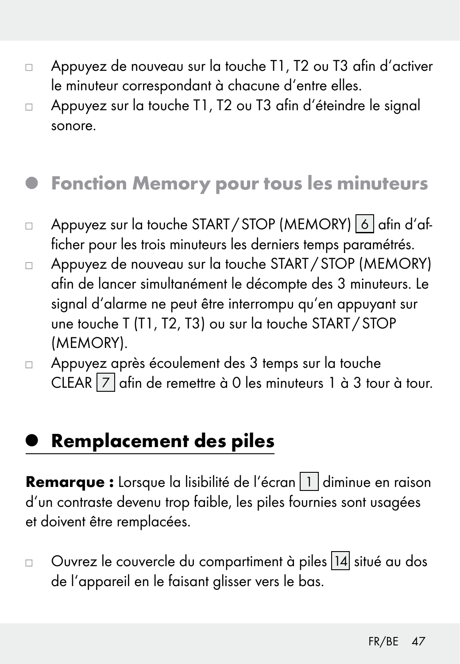- Appuyez de nouveau sur la touche T1, T2 ou T3 afin d'activer le minuteur correspondant à chacune d'entre elles.
- Appuyez sur la touche T1, T2 ou T3 afin d'éteindre le signal sonore.

### Fonction Memory pour tous les minuteurs

- □ Appuyez sur la touche START / STOP (MEMORY) 6 afin d'afficher pour les trois minuteurs les derniers temps paramétrés.
- Appuyez de nouveau sur la touche START /STOP (MEMORY) afin de lancer simultanément le décompte des 3 minuteurs. Le signal d'alarme ne peut être interrompu qu'en appuyant sur une touche T (T1, T2, T3) ou sur la touche START /STOP (MEMORY).
- Appuyez après écoulement des 3 temps sur la touche CLEAR  $\boxed{7}$  afin de remettre à 0 les minuteurs 1 à 3 tour à tour.

### <sup>Q</sup> Remplacement des piles

Remarque : Lorsque la lisibilité de l'écran 1 diminue en raison d'un contraste devenu trop faible, les piles fournies sont usagées et doivent être remplacées.

□ Ouvrez le couvercle du compartiment à piles 14 situé au dos de l'appareil en le faisant glisser vers le bas.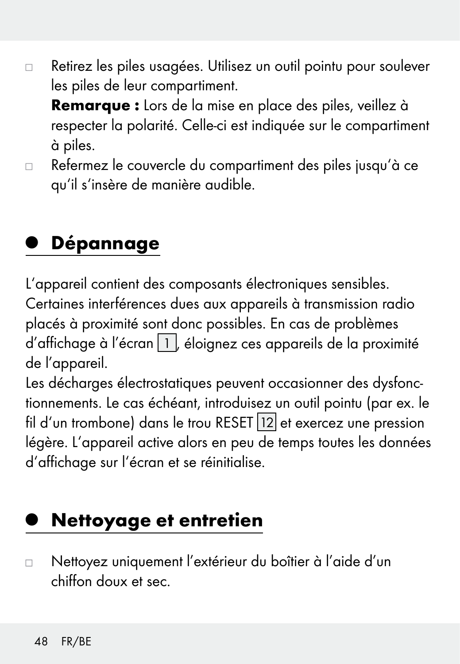Retirez les piles usagées. Utilisez un outil pointu pour soulever les piles de leur compartiment.

Remarque : Lors de la mise en place des piles, veillez à respecter la polarité. Celle-ci est indiquée sur le compartiment à piles.

 Refermez le couvercle du compartiment des piles jusqu'à ce qu'il s'insère de manière audible.

## <sup>Q</sup> Dépannage

L'appareil contient des composants électroniques sensibles. Certaines interférences dues aux appareils à transmission radio placés à proximité sont donc possibles. En cas de problèmes d'affichage à l'écran  $\boxed{1}$ , éloignez ces appareils de la proximité de l'appareil.

Les décharges électrostatiques peuvent occasionner des dysfonctionnements. Le cas échéant, introduisez un outil pointu (par ex. le fil d'un trombone) dans le trou RESET 12 et exercez une pression légère. L'appareil active alors en peu de temps toutes les données d'affichage sur l'écran et se réinitialise.

### Nettoyage et entretien

 Nettoyez uniquement l'extérieur du boîtier à l'aide d'un chiffon doux et sec.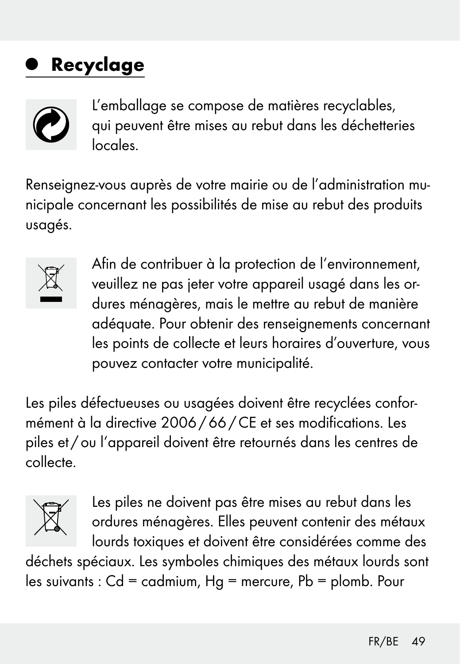### Recyclage



L'emballage se compose de matières recyclables, qui peuvent être mises au rebut dans les déchetteries locales.

Renseignez-vous auprès de votre mairie ou de l'administration municipale concernant les possibilités de mise au rebut des produits usagés.



Afin de contribuer à la protection de l'environnement, veuillez ne pas jeter votre appareil usagé dans les ordures ménagères, mais le mettre au rebut de manière adéquate. Pour obtenir des renseignements concernant les points de collecte et leurs horaires d'ouverture, vous pouvez contacter votre municipalité.

Les piles défectueuses ou usagées doivent être recyclées conformément à la directive 2006/66/CE et ses modifications. Les piles et /ou l'appareil doivent être retournés dans les centres de collecte.



Les piles ne doivent pas être mises au rebut dans les ordures ménagères. Elles peuvent contenir des métaux lourds toxiques et doivent être considérées comme des

déchets spéciaux. Les symboles chimiques des métaux lourds sont les suivants : Cd = cadmium, Hg = mercure, Pb = plomb. Pour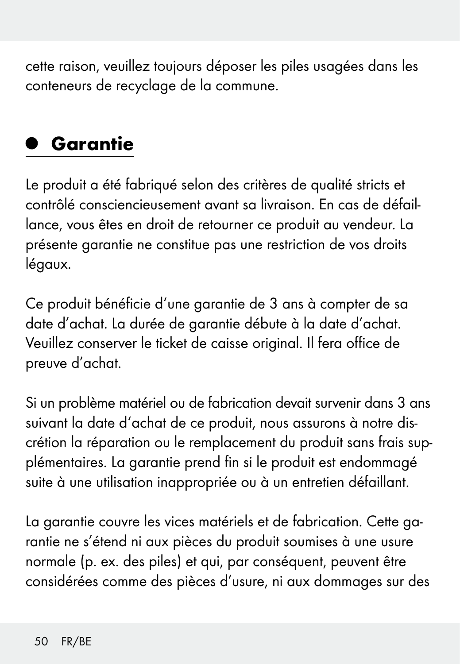cette raison, veuillez toujours déposer les piles usagées dans les conteneurs de recyclage de la commune.

### Garantie

Le produit a été fabriqué selon des critères de qualité stricts et contrôlé consciencieusement avant sa livraison. En cas de défaillance, vous êtes en droit de retourner ce produit au vendeur. La présente garantie ne constitue pas une restriction de vos droits légaux.

Ce produit bénéficie d'une garantie de 3 ans à compter de sa date d'achat. La durée de garantie débute à la date d'achat. Veuillez conserver le ticket de caisse original. Il fera office de preuve d'achat.

Si un problème matériel ou de fabrication devait survenir dans 3 ans suivant la date d'achat de ce produit, nous assurons à notre discrétion la réparation ou le remplacement du produit sans frais supplémentaires. La garantie prend fin si le produit est endommagé suite à une utilisation inappropriée ou à un entretien défaillant.

La garantie couvre les vices matériels et de fabrication. Cette garantie ne s'étend ni aux pièces du produit soumises à une usure normale (p. ex. des piles) et qui, par conséquent, peuvent être considérées comme des pièces d'usure, ni aux dommages sur des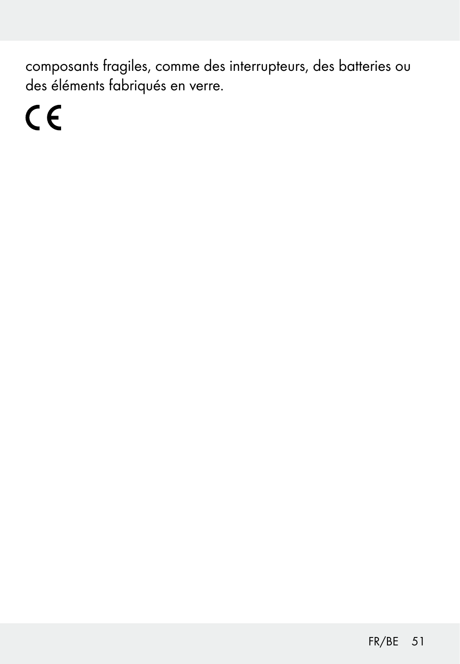composants fragiles, comme des interrupteurs, des batteries ou des éléments fabriqués en verre.

 $C \in$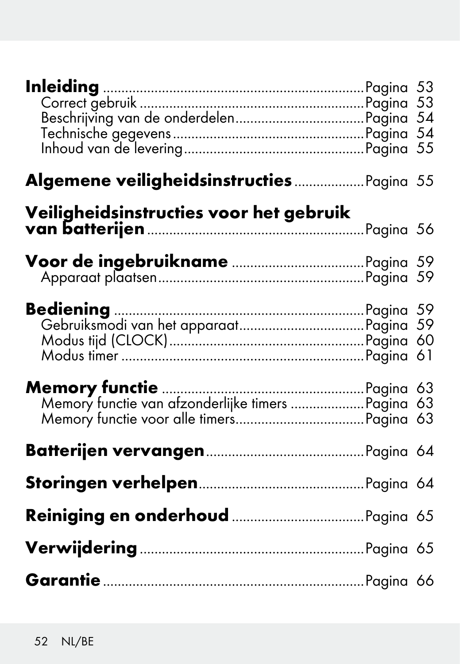| Algemene veiligheidsinstructies  Pagina 55 |  |
|--------------------------------------------|--|
| Veiligheidsinstructies voor het gebruik    |  |
|                                            |  |
|                                            |  |
|                                            |  |
|                                            |  |
|                                            |  |
|                                            |  |
|                                            |  |
|                                            |  |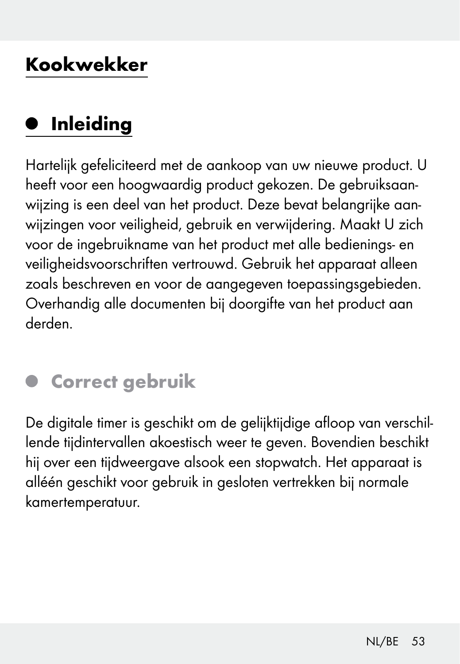### Kookwekker

### **•** Inleiding

Hartelijk gefeliciteerd met de aankoop van uw nieuwe product. U heeft voor een hoogwaardig product gekozen. De gebruiksaanwijzing is een deel van het product. Deze bevat belangrijke aanwijzingen voor veiligheid, gebruik en verwijdering. Maakt U zich voor de ingebruikname van het product met alle bedienings- en veiligheidsvoorschriften vertrouwd. Gebruik het apparaat alleen zoals beschreven en voor de aangegeven toepassingsgebieden. Overhandig alle documenten bij doorgifte van het product aan derden.

### **• Correct gebruik**

De digitale timer is geschikt om de gelijktijdige afloop van verschillende tijdintervallen akoestisch weer te geven. Bovendien beschikt hij over een tijdweergave alsook een stopwatch. Het apparaat is alléén geschikt voor gebruik in gesloten vertrekken bij normale kamertemperatuur.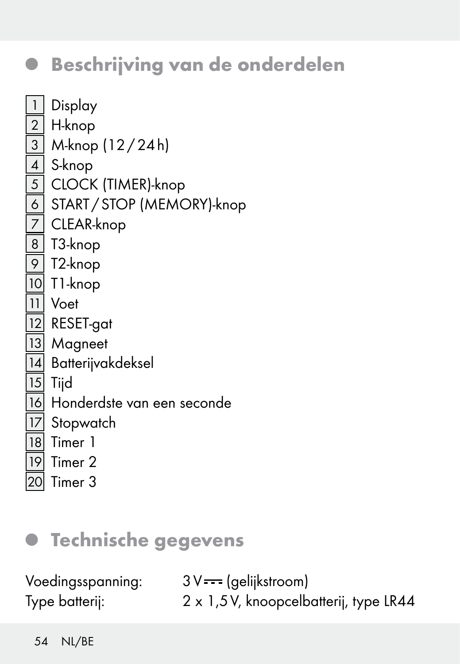### Beschrijving van de onderdelen

 $\frac{1}{2}$  Display<br>2 H-knop 2 H-knop  $\frac{4}{5}$  S-knop 8 T3-knop 9 T2-knop 10 T1-knop<br>11 Voet 11 Voet 13 Magneet 15 Tijd 18 Timer 1 19 Timer 2

3 M-knop (12/24h) 5 CLOCK (TIMER)-knop 6 START /STOP (MEMORY)-knop 7 CLEAR-knop 12 RESET-gat 14 Batterijvakdeksel 16 Honderdste van een seconde 17 Stopwatch 20 Timer 3

### **• Technische gegevens**

| Voedingsspanning: | $3V = (gelijkstroom)$                  |
|-------------------|----------------------------------------|
| Type batterij:    | 2 x 1,5 V, knoopcelbatterij, type LR44 |

54 NL/BE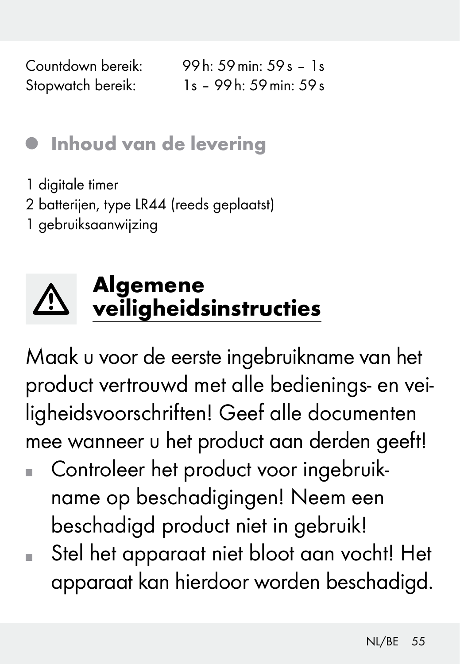Countdown bereik: 99h: 59min: 59s – 1s Stopwatch bereik: 1s - 99h: 59min: 59s

Inhoud van de levering

- 1 digitale timer
- 2 batterijen, type LR44 (reeds geplaatst)
- 1 gebruiksaanwijzing



Maak u voor de eerste ingebruikname van het product vertrouwd met alle bedienings- en veiligheidsvoorschriften! Geef alle documenten mee wanneer u het product aan derden geeft!

- Controleer het product voor ingebruikname op beschadigingen! Neem een beschadigd product niet in gebruik!
- Stel het apparaat niet bloot aan vocht! Het apparaat kan hierdoor worden beschadigd.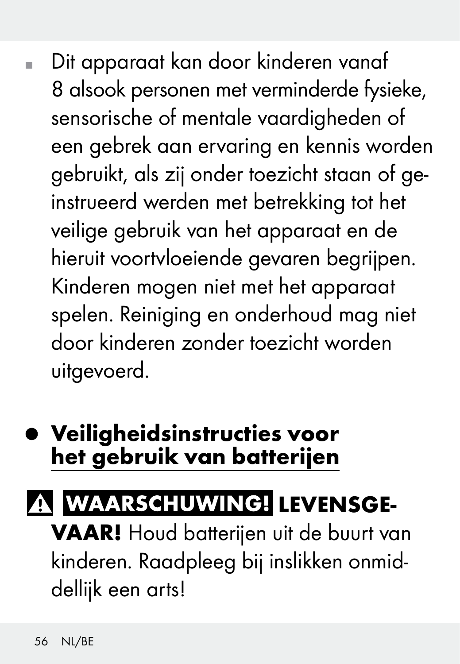Dit apparaat kan door kinderen vanaf 8 alsook personen met verminderde fysieke, sensorische of mentale vaardigheden of een gebrek aan ervaring en kennis worden gebruikt, als zij onder toezicht staan of geïnstrueerd werden met betrekking tot het veilige gebruik van het apparaat en de hieruit voortvloeiende gevaren begrijpen. Kinderen mogen niet met het apparaat spelen. Reiniging en onderhoud mag niet door kinderen zonder toezicht worden uitgevoerd.

## Veiligheidsinstructies voor het gebruik van batterijen

## A WAARSCHUWING! LEVENSGE-

 VAAR! Houd batterijen uit de buurt van kinderen. Raadpleeg bij inslikken onmiddellijk een arts!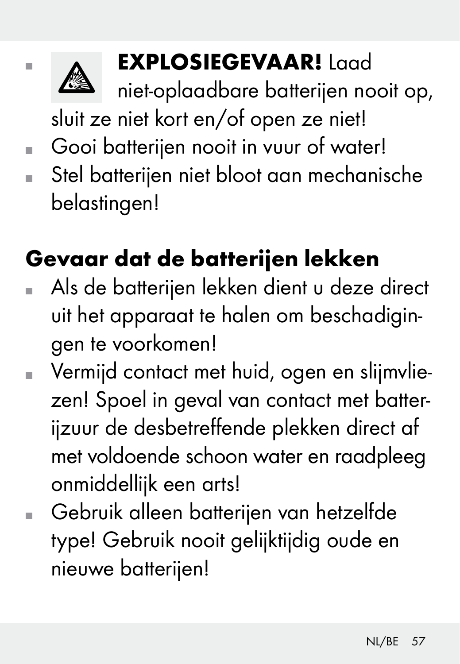

## **EXPLOSIEGEVAAR!** Laad

niet-oplaadbare batterijen nooit op,

sluit ze niet kort en/of open ze niet!

- Gooi batterijen nooit in vuur of water!
- Stel batterijen niet bloot aan mechanische belastingen!

## Gevaar dat de batterijen lekken

- Als de batterijen lekken dient u deze direct uit het apparaat te halen om beschadigingen te voorkomen!
- Vermijd contact met huid, ogen en slijmvliezen! Spoel in geval van contact met batterijzuur de desbetreffende plekken direct af met voldoende schoon water en raadpleeg onmiddellijk een arts!
- Gebruik alleen batterijen van hetzelfde type! Gebruik nooit gelijktijdig oude en nieuwe batterijen!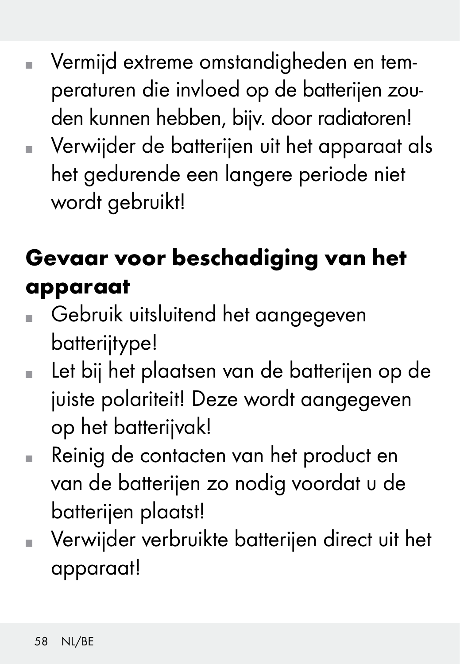- Vermijd extreme omstandigheden en temperaturen die invloed op de batterijen zouden kunnen hebben, bijv. door radiatoren!
- Verwijder de batterijen uit het apparaat als het gedurende een langere periode niet wordt gebruikt!

## Gevaar voor beschadiging van het apparaat

- Gebruik uitsluitend het aangegeven batterijtype!
- Let bij het plaatsen van de batterijen op de juiste polariteit! Deze wordt aangegeven op het batterijvak!
- Reinig de contacten van het product en van de batterijen zo nodig voordat u de batterijen plaatst!
- Verwijder verbruikte batterijen direct uit het apparaat!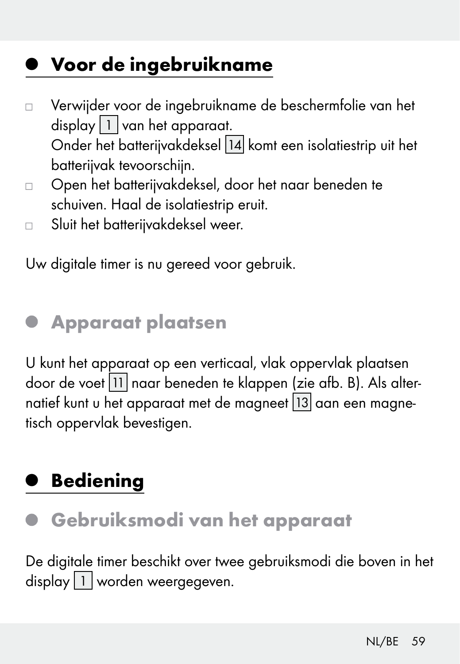### <sup>Q</sup> Voor de ingebruikname

- Verwijder voor de ingebruikname de beschermfolie van het  $display$  1 van het apparaat. Onder het batterijvakdeksel 14 komt een isolatiestrip uit het batterijvak tevoorschijn.
- Open het batterijvakdeksel, door het naar beneden te schuiven. Haal de isolatiestrip eruit.
- Sluit het batterijvakdeksel weer.

Uw digitale timer is nu gereed voor gebruik.

### Apparaat plaatsen

U kunt het apparaat op een verticaal, vlak oppervlak plaatsen door de voet 11 naar beneden te klappen (zie afb. B). Als alternatief kunt u het apparaat met de magneet 13 aan een magnetisch oppervlak bevestigen.

### **Bediening**

Gebruiksmodi van het apparaat

De digitale timer beschikt over twee gebruiksmodi die boven in het display 1 worden weergegeven.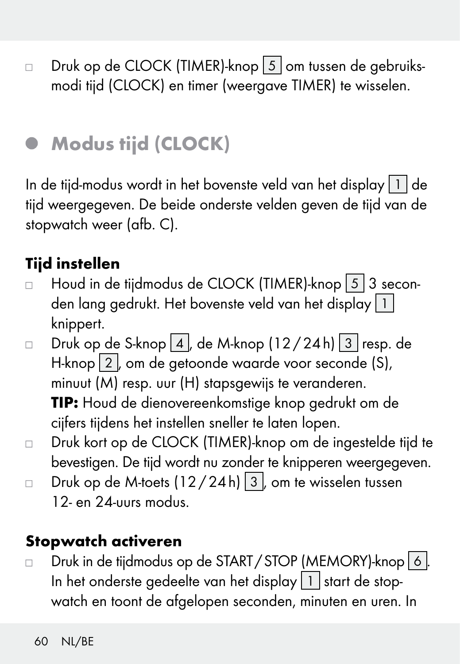□ Druk op de CLOCK (TIMER)-knop 5 om tussen de gebruiksmodi tijd (CLOCK) en timer (weergave TIMER) te wisselen.

### $\bullet$  Modus tijd (CLOCK)

In de tijd-modus wordt in het bovenste veld van het display  $|1|$  de tijd weergegeven. De beide onderste velden geven de tijd van de stopwatch weer (afb. C).

### Tijd instellen

- □ Houd in de tijdmodus de CLOCK (TIMER)-knop 5 3 seconden lang gedrukt. Het bovenste veld van het display 1 knippert.
- Druk op de S-knop  $\boxed{4}$ , de M-knop (12/24h)  $\boxed{3}$  resp. de H-knop 2, om de getoonde waarde voor seconde (S), minuut (M) resp. uur (H) stapsgewijs te veranderen. TIP: Houd de dienovereenkomstige knop gedrukt om de cijfers tijdens het instellen sneller te laten lopen.
- Druk kort op de CLOCK (TIMER)-knop om de ingestelde tijd te bevestigen. De tijd wordt nu zonder te knipperen weergegeven.
- Druk op de M-toets  $(12/24h)$  3, om te wisselen tussen 12- en 24-uurs modus.

#### Stopwatch activeren

Druk in de tijdmodus op de START/STOP (MEMORY)-knop 6. In het onderste gedeelte van het display  $\boxed{1}$  start de stopwatch en toont de afgelopen seconden, minuten en uren. In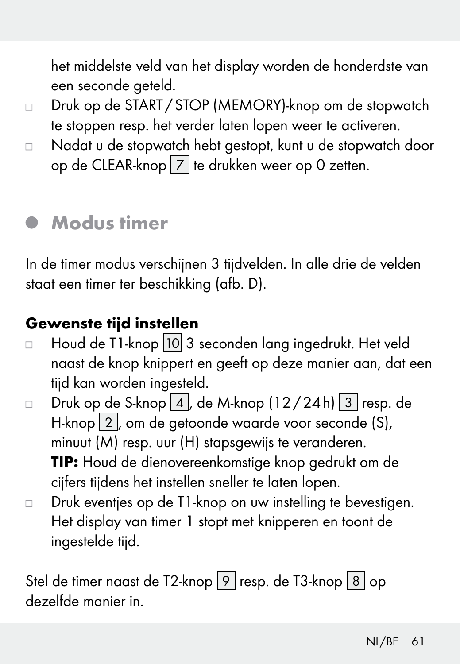het middelste veld van het display worden de honderdste van een seconde geteld.

- Druk op de START /STOP (MEMORY)-knop om de stopwatch te stoppen resp. het verder laten lopen weer te activeren.
- Nadat u de stopwatch hebt gestopt, kunt u de stopwatch door op de CLEAR-knop 7 te drukken weer op 0 zetten.

### Modus timer

In de timer modus verschijnen 3 tijdvelden. In alle drie de velden staat een timer ter beschikking (afb. D).

#### Gewenste tijd instellen

- □ Houd de T1-knop 10 3 seconden lang ingedrukt. Het veld naast de knop knippert en geeft op deze manier aan, dat een tijd kan worden ingesteld.
- Druk op de S-knop  $\boxed{4}$ , de M-knop (12/24h)  $\boxed{3}$  resp. de H-knop 2, om de getoonde waarde voor seconde (S), minuut (M) resp. uur (H) stapsgewijs te veranderen. TIP: Houd de dienovereenkomstige knop gedrukt om de cijfers tijdens het instellen sneller te laten lopen.
- □ Druk eventjes op de T1-knop on uw instelling te bevestigen. Het display van timer 1 stopt met knipperen en toont de ingestelde tijd.

Stel de timer naast de T2-knop 9 resp. de T3-knop 8 op dezelfde manier in.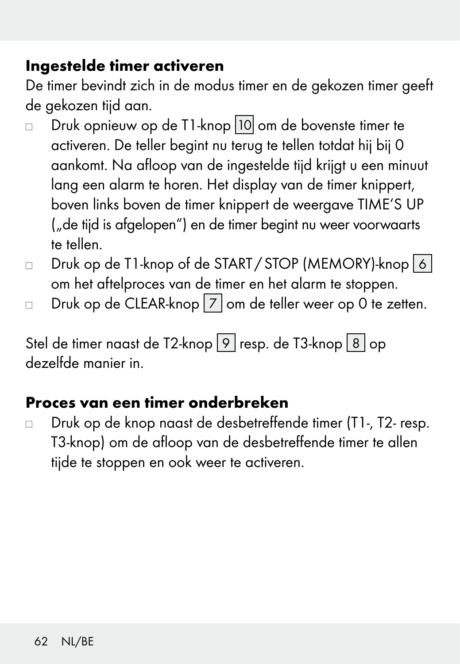#### Ingestelde timer activeren

De timer bevindt zich in de modus timer en de gekozen timer geeft de gekozen tijd aan.

- Druk opnieuw op de T1-knop 10 om de bovenste timer te activeren. De teller begint nu terug te tellen totdat hij bij 0 aankomt. Na afloop van de ingestelde tijd krijgt u een minuut lang een alarm te horen. Het display van de timer knippert, boven links boven de timer knippert de weergave TIME'S UP ("de tijd is afgelopen") en de timer begint nu weer voorwaarts te tellen.
- Druk op de T1-knop of de START/STOP (MEMORY)-knop 6 om het aftelproces van de timer en het alarm te stoppen.
- Druk op de CLEAR-knop  $\boxed{7}$  om de teller weer op 0 te zetten.

Stel de timer naast de T2-knop 9 resp. de T3-knop 8 op dezelfde manier in.

#### Proces van een timer onderbreken

□ Druk op de knop naast de desbetreffende timer (T1-, T2- resp. T3-knop) om de afloop van de desbetreffende timer te allen tijde te stoppen en ook weer te activeren.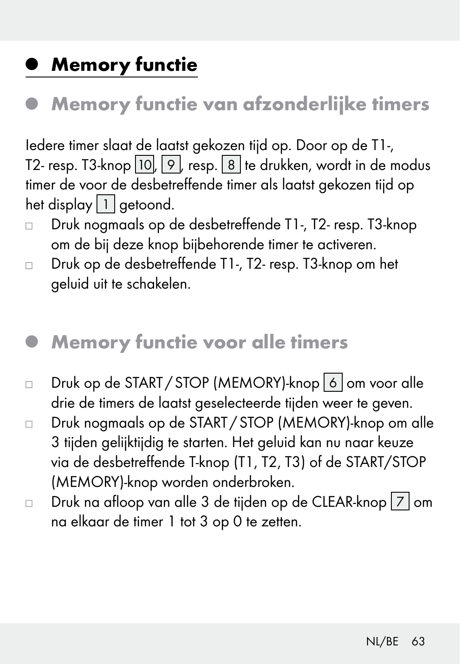### $\bullet\,$  Memory functie

### Memory functie van afzonderlijke timers

Iedere timer slaat de laatst gekozen tijd op. Door op de T1-, T2- resp. T3-knop 10, 9, resp. 8 te drukken, wordt in de modus timer de voor de desbetreffende timer als laatst gekozen tijd op het display  $\boxed{1}$  getoond.

- Druk nogmaals op de desbetreffende T1-, T2- resp. T3-knop om de bij deze knop bijbehorende timer te activeren.
- Druk op de desbetreffende T1-, T2- resp. T3-knop om het geluid uit te schakelen.

### Memory functie voor alle timers

- Druk op de START/STOP (MEMORY)-knop 6 om voor alle drie de timers de laatst geselecteerde tijden weer te geven.
- Druk nogmaals op de START /STOP (MEMORY)-knop om alle 3 tijden gelijktijdig te starten. Het geluid kan nu naar keuze via de desbetreffende T-knop (T1, T2, T3) of de START/STOP (MEMORY)-knop worden onderbroken.
- Druk na afloop van alle 3 de tijden op de CLEAR-knop  $\boxed{7}$  om na elkaar de timer 1 tot 3 op 0 te zetten.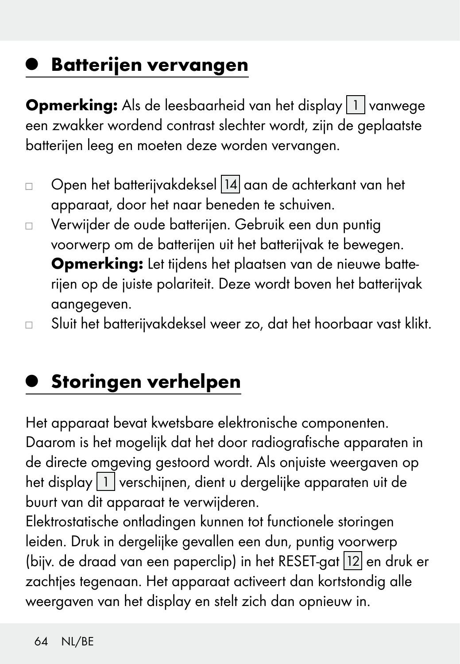### <sup>Q</sup> Batterijen vervangen

Opmerking: Als de leesbaarheid van het display 1 vanwege een zwakker wordend contrast slechter wordt, zijn de geplaatste batterijen leeg en moeten deze worden vervangen.

- □ Open het batterijvakdeksel 14 aan de achterkant van het apparaat, door het naar beneden te schuiven.
- Verwijder de oude batterijen. Gebruik een dun puntig voorwerp om de batterijen uit het batterijvak te bewegen. Opmerking: Let tijdens het plaatsen van de nieuwe batterijen op de juiste polariteit. Deze wordt boven het batterijvak aangegeven.
- Sluit het batterijvakdeksel weer zo, dat het hoorbaar vast klikt.

### <sup>Q</sup> Storingen verhelpen

Het apparaat bevat kwetsbare elektronische componenten. Daarom is het mogelijk dat het door radiografische apparaten in de directe omgeving gestoord wordt. Als onjuiste weergaven op het display 1 verschijnen, dient u dergelijke apparaten uit de buurt van dit apparaat te verwijderen.

Elektrostatische ontladingen kunnen tot functionele storingen leiden. Druk in dergelijke gevallen een dun, puntig voorwerp (bijv. de draad van een paperclip) in het RESET-gat 12 en druk er zachtjes tegenaan. Het apparaat activeert dan kortstondig alle weergaven van het display en stelt zich dan opnieuw in.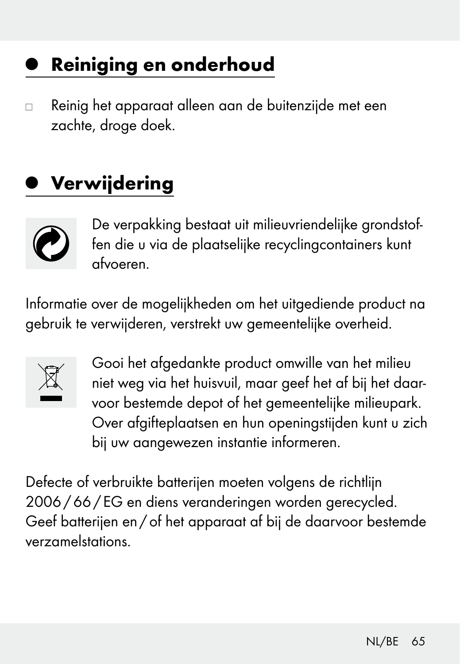### <sup>Q</sup> Reiniging en onderhoud

 Reinig het apparaat alleen aan de buitenzijde met een zachte, droge doek.

### <sup>Q</sup> Verwijdering



De verpakking bestaat uit milieuvriendelijke grondstoffen die u via de plaatselijke recyclingcontainers kunt afvoeren.

Informatie over de mogelijkheden om het uitgediende product na gebruik te verwijderen, verstrekt uw gemeentelijke overheid.



Gooi het afgedankte product omwille van het milieu niet weg via het huisvuil, maar geef het af bij het daarvoor bestemde depot of het gemeentelijke milieupark. Over afgifteplaatsen en hun openingstijden kunt u zich bij uw aangewezen instantie informeren.

Defecte of verbruikte batterijen moeten volgens de richtlijn 2006/66/ EG en diens veranderingen worden gerecycled. Geef batterijen en /of het apparaat af bij de daarvoor bestemde verzamelstations.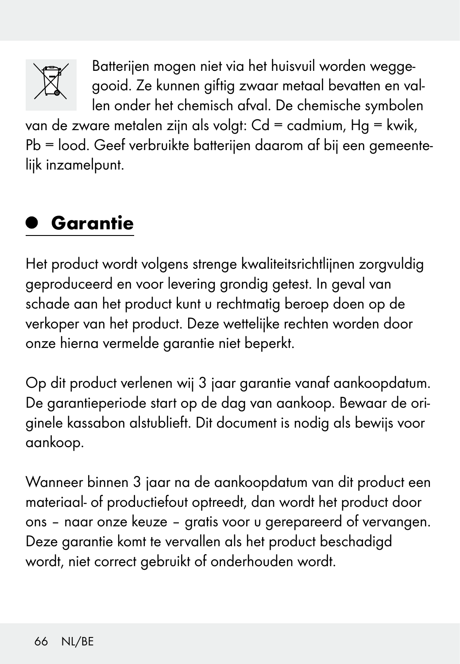

Batterijen mogen niet via het huisvuil worden weggegooid. Ze kunnen giftig zwaar metaal bevatten en vallen onder het chemisch afval. De chemische symbolen

van de zware metalen zijn als volgt:  $Cd = cadmium$ , Ha = kwik, Pb = lood. Geef verbruikte batterijen daarom af bij een gemeentelijk inzamelpunt.

## Garantie

Het product wordt volgens strenge kwaliteitsrichtlijnen zorgvuldig geproduceerd en voor levering grondig getest. In geval van schade aan het product kunt u rechtmatig beroep doen op de verkoper van het product. Deze wettelijke rechten worden door onze hierna vermelde garantie niet beperkt.

Op dit product verlenen wij 3 jaar garantie vanaf aankoopdatum. De garantieperiode start op de dag van aankoop. Bewaar de originele kassabon alstublieft. Dit document is nodig als bewijs voor aankoop.

Wanneer binnen 3 jaar na de aankoopdatum van dit product een materiaal- of productiefout optreedt, dan wordt het product door ons – naar onze keuze – gratis voor u gerepareerd of vervangen. Deze garantie komt te vervallen als het product beschadigd wordt, niet correct gebruikt of onderhouden wordt.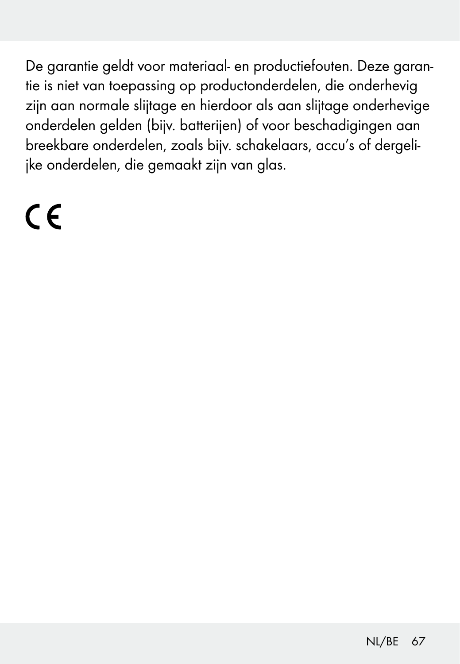De garantie geldt voor materiaal- en productiefouten. Deze garantie is niet van toepassing op productonderdelen, die onderhevig zijn aan normale slijtage en hierdoor als aan slijtage onderhevige onderdelen gelden (bijv. batterijen) of voor beschadigingen aan breekbare onderdelen, zoals bijv. schakelaars, accu's of dergelijke onderdelen, die gemaakt zijn van glas.

# $\epsilon$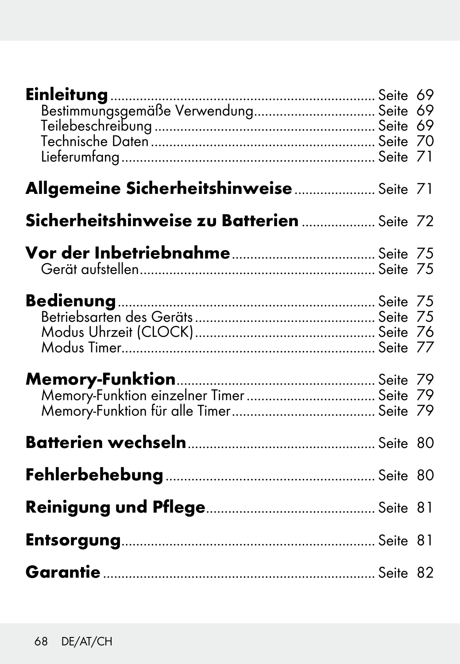| Einleitung<br>Bestimmungsgemäße Verwendung Seite 69 |  |
|-----------------------------------------------------|--|
| Allgemeine Sicherheitshinweise Seite 71             |  |
| Sicherheitshinweise zu Batterien  Seite 72          |  |
|                                                     |  |
|                                                     |  |
|                                                     |  |
|                                                     |  |
|                                                     |  |
|                                                     |  |
|                                                     |  |
|                                                     |  |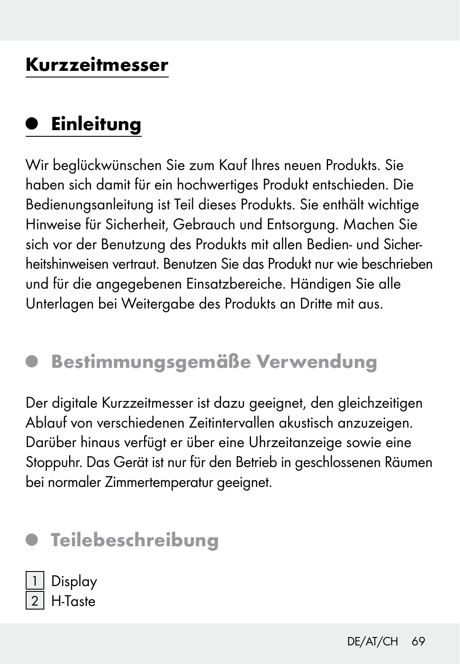### Kurzzeitmesser

### **B** Einleitung

Wir beglückwünschen Sie zum Kauf Ihres neuen Produkts. Sie haben sich damit für ein hochwertiges Produkt entschieden. Die Bedienungsanleitung ist Teil dieses Produkts. Sie enthält wichtige Hinweise für Sicherheit, Gebrauch und Entsorgung. Machen Sie sich vor der Benutzung des Produkts mit allen Bedien- und Sicherheitshinweisen vertraut. Benutzen Sie das Produkt nur wie beschrieben und für die angegebenen Einsatzbereiche. Händigen Sie alle Unterlagen bei Weitergabe des Produkts an Dritte mit aus.

### **· Bestimmungsgemäße Verwendung**

Der digitale Kurzzeitmesser ist dazu geeignet, den gleichzeitigen Ablauf von verschiedenen Zeitintervallen akustisch anzuzeigen. Darüber hinaus verfügt er über eine Uhrzeitanzeige sowie eine Stoppuhr. Das Gerät ist nur für den Betrieb in geschlossenen Räumen bei normaler Zimmertemperatur geeignet.

### **• Teilebeschreibung**

| 1 Display           |
|---------------------|
| $\boxed{2}$ H-Taste |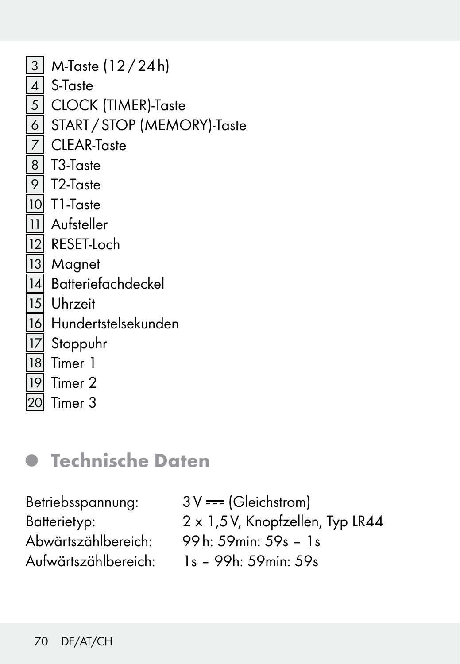3 M-Taste (12/24h) 4 S-Taste 5 CLOCK (TIMER)-Taste<br>6 START / STOP IMENAC 6 START /STOP (MEMORY)-Taste 7 CLEAR-Taste 8 T3-Taste 9 T<sub>2</sub>-Taste 10 T1-Taste 11 Aufsteller  $\overline{12}$  RESET-Loch 13 Magnet 14 Batteriefachdeckel<br>15 Uhrzeit 15 Uhrzeit 16 Hundertstelsekunden 17 Stoppuhr 18 Timer 1 19 Timer 2 20 Timer 3

### Technische Daten

Betriebsspannung:  $3V \rightarrow$  (Gleichstrom) Batterietyp: 2 x 1,5V, Knopfzellen, Typ LR44 Abwärtszählbereich: 99h: 59min: 59s – 1s Aufwärtszählbereich: 1s – 99h: 59min: 59s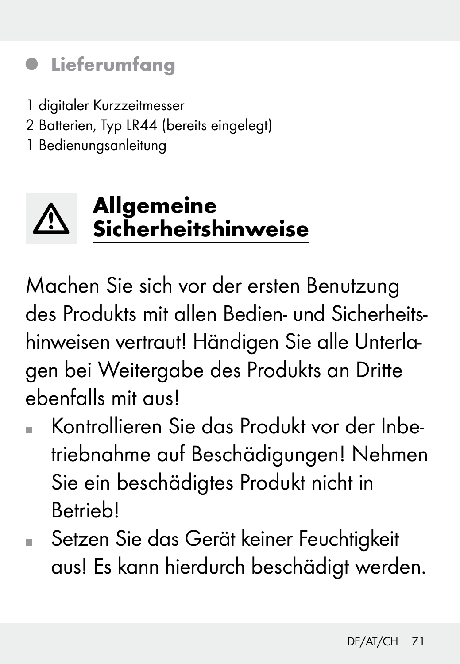### Lieferumfang

- 1 digitaler Kurzzeitmesser
- 2 Batterien, Typ LR44 (bereits eingelegt)
- 1 Bedienungsanleitung

## Allgemeine Sicherheitshinweise

Machen Sie sich vor der ersten Benutzung des Produkts mit allen Bedien- und Sicherheitshinweisen vertraut! Händigen Sie alle Unterlagen bei Weitergabe des Produkts an Dritte ebenfalls mit aus!

- Kontrollieren Sie das Produkt vor der Inbetriebnahme auf Beschädigungen! Nehmen Sie ein beschädigtes Produkt nicht in Betrieb!
- Setzen Sie das Gerät keiner Feuchtigkeit aus! Es kann hierdurch beschädigt werden.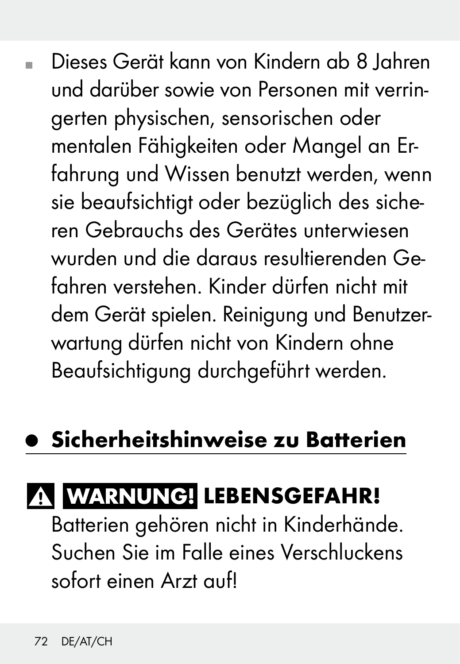Dieses Gerät kann von Kindern ab 8 Jahren und darüber sowie von Personen mit verringerten physischen, sensorischen oder mentalen Fähigkeiten oder Mangel an Erfahrung und Wissen benutzt werden, wenn sie beaufsichtigt oder bezüglich des sicheren Gebrauchs des Gerätes unterwiesen wurden und die daraus resultierenden Gefahren verstehen. Kinder dürfen nicht mit dem Gerät spielen. Reinigung und Benutzerwartung dürfen nicht von Kindern ohne Beaufsichtigung durchgeführt werden.

## Sicherheitshinweise zu Batterien

## **A WARNUNG! LEBENSGEFAHR!**

 Batterien gehören nicht in Kinderhände. Suchen Sie im Falle eines Verschluckens sofort einen Arzt auf!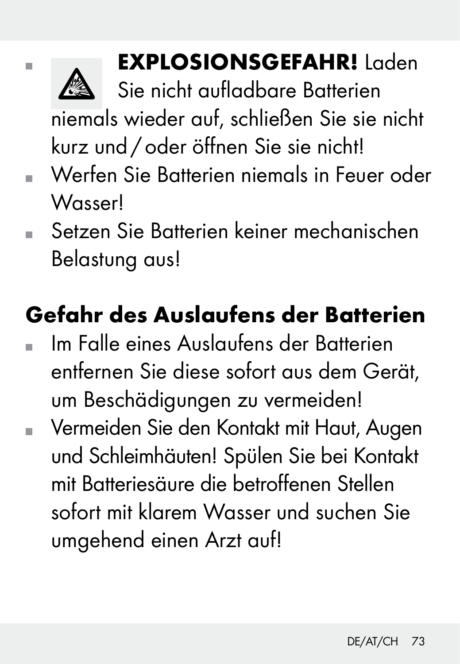

# **EXPLOSIONSGEFAHR!** Laden

Sie nicht aufladbare Batterien

 niemals wieder auf, schließen Sie sie nicht kurz und/oder öffnen Sie sie nicht!

- Werfen Sie Batterien niemals in Feuer oder Wasser!
- Setzen Sie Batterien keiner mechanischen Belastung aus!

# Gefahr des Auslaufens der Batterien

- Im Falle eines Auslaufens der Batterien entfernen Sie diese sofort aus dem Gerät, um Beschädigungen zu vermeiden!
- Vermeiden Sie den Kontakt mit Haut, Augen und Schleimhäuten! Spülen Sie bei Kontakt mit Batteriesäure die betroffenen Stellen sofort mit klarem Wasser und suchen Sie umgehend einen Arzt auf!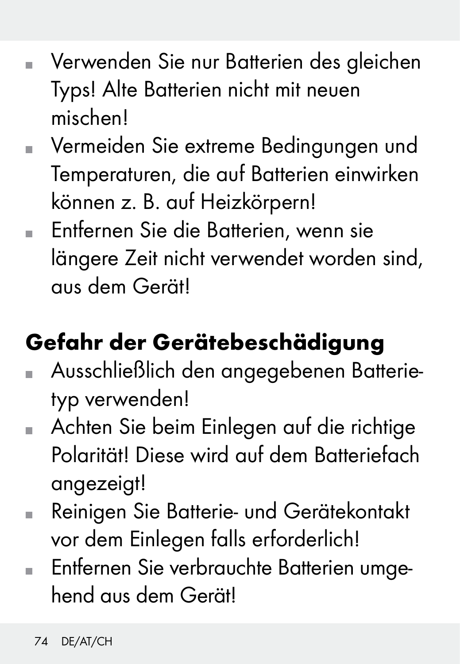- Verwenden Sie nur Batterien des gleichen Typs! Alte Batterien nicht mit neuen mischen!
- **Vermeiden Sie extreme Bedingungen und** Temperaturen, die auf Batterien einwirken können z. B. auf Heizkörpern!
- Entfernen Sie die Batterien, wenn sie längere Zeit nicht verwendet worden sind, aus dem Gerät!

# Gefahr der Gerätebeschädigung

- Ausschließlich den angegebenen Batterietyp verwenden!
- Achten Sie beim Einlegen auf die richtige Polarität! Diese wird auf dem Batteriefach angezeigt!
- Reinigen Sie Batterie- und Gerätekontakt vor dem Einlegen falls erforderlich!
- **Entfernen Sie verbrauchte Batterien umge**hend aus dem Gerät!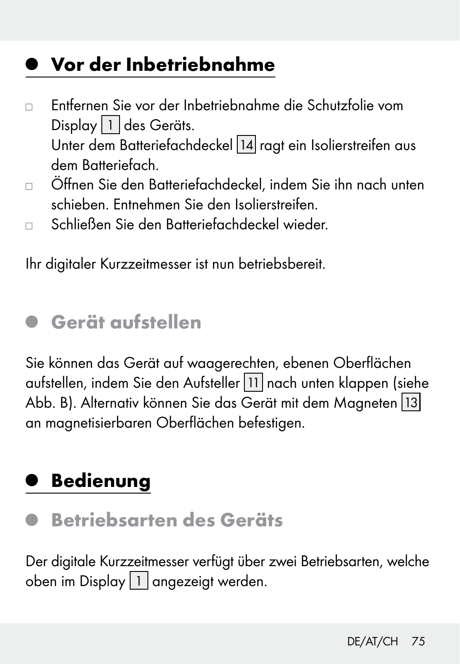### $\bullet\,$  Vor der Inbetriebnahme

- Entfernen Sie vor der Inbetriebnahme die Schutzfolie vom Display 1 des Geräts. Unter dem Batteriefachdeckel 14 ragt ein Isolierstreifen aus dem Batteriefach.
- Öffnen Sie den Batteriefachdeckel, indem Sie ihn nach unten schieben. Entnehmen Sie den Isolierstreifen.
- Schließen Sie den Batteriefachdeckel wieder.

Ihr digitaler Kurzzeitmesser ist nun betriebsbereit.

#### Gerät aufstellen

Sie können das Gerät auf waagerechten, ebenen Oberflächen aufstellen, indem Sie den Aufsteller 11 nach unten klappen (siehe Abb. B). Alternativ können Sie das Gerät mit dem Magneten 13 an magnetisierbaren Oberflächen befestigen.

# **Bedienung**

Betriebsarten des Geräts

Der digitale Kurzzeitmesser verfügt über zwei Betriebsarten, welche oben im Display  $\boxed{1}$  angezeigt werden.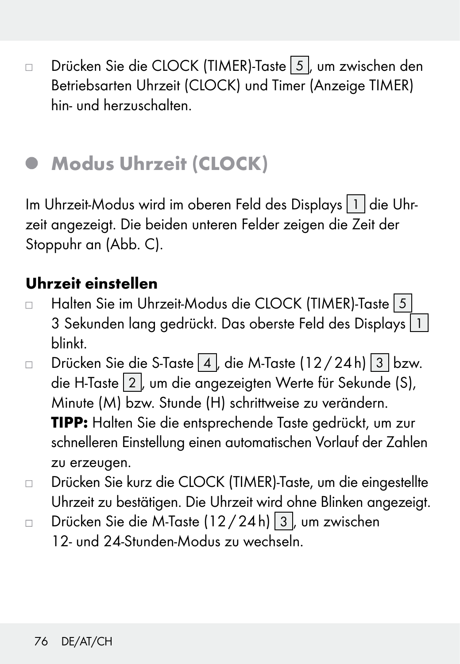□ Drücken Sie die CLOCK (TIMER)-Taste 5 , um zwischen den Betriebsarten Uhrzeit (CLOCK) und Timer (Anzeige TIMER) hin- und herzuschalten.

### Modus Uhrzeit (CLOCK)

Im Uhrzeit-Modus wird im oberen Feld des Displays 1 die Uhrzeit angezeigt. Die beiden unteren Felder zeigen die Zeit der Stoppuhr an (Abb. C).

#### Uhrzeit einstellen

- □ Halten Sie im Uhrzeit-Modus die CLOCK (TIMER)-Taste 5 3 Sekunden lang gedrückt. Das oberste Feld des Displays 1 blinkt.
- □ Drücken Sie die S-Taste 4, die M-Taste (12/24h) 3 bzw. die H-Taste 2, um die angezeigten Werte für Sekunde (S), Minute (M) bzw. Stunde (H) schrittweise zu verändern. TIPP: Halten Sie die entsprechende Taste gedrückt, um zur schnelleren Einstellung einen automatischen Vorlauf der Zahlen zu erzeugen.
- □ Drücken Sie kurz die CLOCK (TIMER)-Taste, um die eingestellte Uhrzeit zu bestätigen. Die Uhrzeit wird ohne Blinken angezeigt.
- Drücken Sie die M-Taste (12/24 h) 3. um zwischen 12- und 24-Stunden-Modus zu wechseln.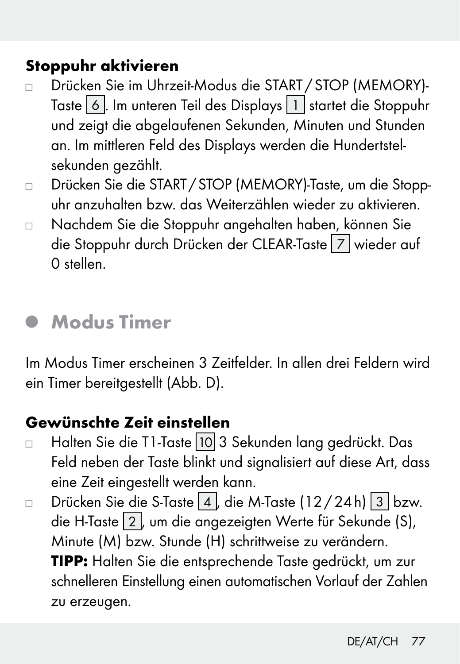#### Stoppuhr aktivieren

- Drücken Sie im Uhrzeit-Modus die START /STOP (MEMORY)- Taste 6. Im unteren Teil des Displays 1 startet die Stoppuhr und zeigt die abgelaufenen Sekunden, Minuten und Stunden an. Im mittleren Feld des Displays werden die Hundertstelsekunden gezählt.
- Drücken Sie die START/STOP (MEMORY)-Taste, um die Stoppuhr anzuhalten bzw. das Weiterzählen wieder zu aktivieren.
- Nachdem Sie die Stoppuhr angehalten haben, können Sie die Stoppuhr durch Drücken der CLEAR-Taste 7 wieder auf 0 stellen.

#### Modus Timer

Im Modus Timer erscheinen 3 Zeitfelder. In allen drei Feldern wird ein Timer bereitgestellt (Abb. D).

#### Gewünschte Zeit einstellen

- □ Halten Sie die T1-Taste 10 3 Sekunden lang gedrückt. Das Feld neben der Taste blinkt und signalisiert auf diese Art, dass eine Zeit eingestellt werden kann.
- □ Drücken Sie die S-Taste 4, die M-Taste (12/24h) 3 bzw. die H-Taste 2 , um die angezeigten Werte für Sekunde (S), Minute (M) bzw. Stunde (H) schrittweise zu verändern. TIPP: Halten Sie die entsprechende Taste gedrückt, um zur schnelleren Einstellung einen automatischen Vorlauf der Zahlen zu erzeugen.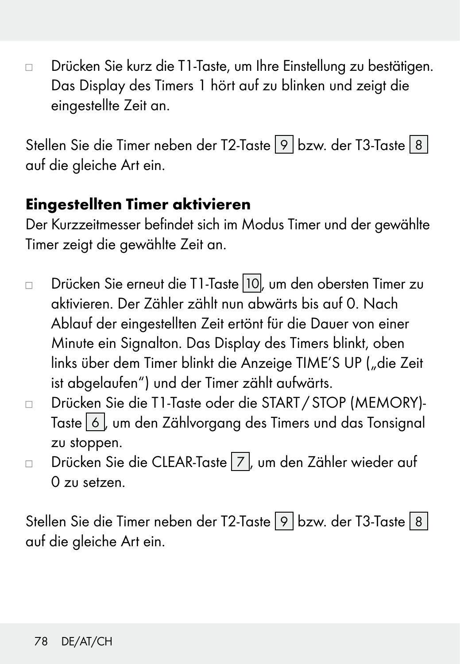Drücken Sie kurz die T1-Taste, um Ihre Einstellung zu bestätigen. Das Display des Timers 1 hört auf zu blinken und zeigt die eingestellte Zeit an.

Stellen Sie die Timer neben der T2-Taste 9 bzw. der T3-Taste 8 auf die gleiche Art ein.

#### Eingestellten Timer aktivieren

Der Kurzzeitmesser befindet sich im Modus Timer und der gewählte Timer zeigt die gewählte Zeit an.

- □ Drücken Sie erneut die T1-Taste 10, um den obersten Timer zu aktivieren. Der Zähler zählt nun abwärts bis auf 0. Nach Ablauf der eingestellten Zeit ertönt für die Dauer von einer Minute ein Signalton. Das Display des Timers blinkt, oben links über dem Timer blinkt die Anzeige TIME'S UP ("die Zeit ist abgelaufen") und der Timer zählt aufwärts.
- Drücken Sie die T1-Taste oder die START /STOP (MEMORY)- Taste 6 , um den Zählvorgang des Timers und das Tonsignal zu stoppen.
- $\Box$  Drücken Sie die CLEAR-Taste  $\boxed{7}$ , um den Zähler wieder auf 0 zu setzen.

Stellen Sie die Timer neben der T2-Taste 9 bzw. der T3-Taste 8 auf die gleiche Art ein.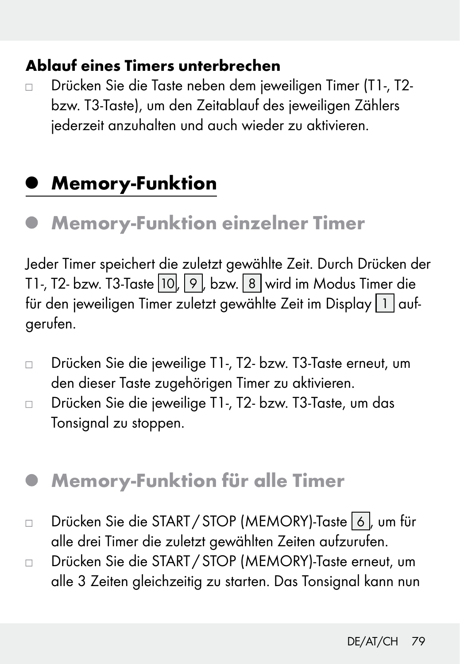#### Ablauf eines Timers unterbrechen

 Drücken Sie die Taste neben dem jeweiligen Timer (T1-, T2 bzw. T3-Taste), um den Zeitablauf des jeweiligen Zählers jederzeit anzuhalten und auch wieder zu aktivieren.

### **Memory-Funktion**

### Memory-Funktion einzelner Timer

Jeder Timer speichert die zuletzt gewählte Zeit. Durch Drücken der T1-, T2- bzw. T3-Taste 10, 9 , bzw. 8 wird im Modus Timer die für den jeweiligen Timer zuletzt gewählte Zeit im Display 11 aufgerufen.

- Drücken Sie die jeweilige T1-, T2- bzw. T3-Taste erneut, um den dieser Taste zugehörigen Timer zu aktivieren.
- Drücken Sie die jeweilige T1-, T2- bzw. T3-Taste, um das Tonsignal zu stoppen.
- Memory-Funktion für alle Timer
- □ Drücken Sie die START / STOP (MEMORY)-Taste 6 , um für alle drei Timer die zuletzt gewählten Zeiten aufzurufen.
- Drücken Sie die START /STOP (MEMORY)-Taste erneut, um alle 3 Zeiten gleichzeitig zu starten. Das Tonsignal kann nun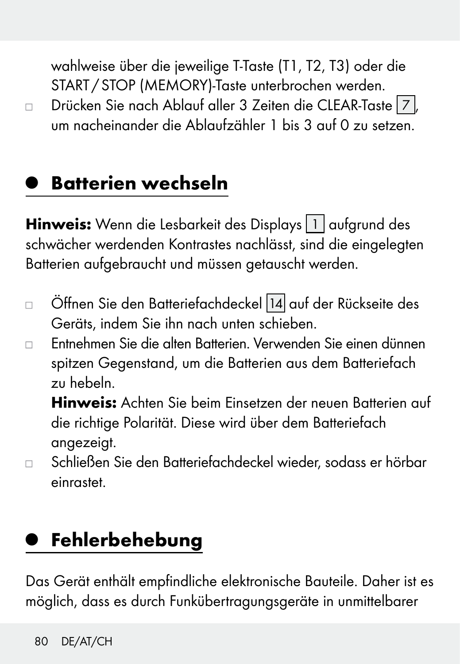wahlweise über die jeweilige T-Taste (T1, T2, T3) oder die START /STOP (MEMORY)-Taste unterbrochen werden.

Drücken Sie nach Ablauf aller 3 Zeiten die CLEAR-Taste [7]. um nacheinander die Ablaufzähler 1 bis 3 auf 0 zu setzen.

### $\bullet$  Batterien wechseln

Hinweis: Wenn die Lesbarkeit des Displays 1 aufgrund des schwächer werdenden Kontrastes nachlässt, sind die eingelegten Batterien aufgebraucht und müssen getauscht werden.

- Öffnen Sie den Batteriefachdeckel 14 auf der Rückseite des Geräts, indem Sie ihn nach unten schieben.
- Entnehmen Sie die alten Batterien. Verwenden Sie einen dünnen spitzen Gegenstand, um die Batterien aus dem Batteriefach zu hebeln.

Hinweis: Achten Sie beim Einsetzen der neuen Batterien auf die richtige Polarität. Diese wird über dem Batteriefach angezeigt.

 Schließen Sie den Batteriefachdeckel wieder, sodass er hörbar einrastet.

# <sup>Q</sup> Fehlerbehebung

Das Gerät enthält empfindliche elektronische Bauteile. Daher ist es möglich, dass es durch Funkübertragungsgeräte in unmittelbarer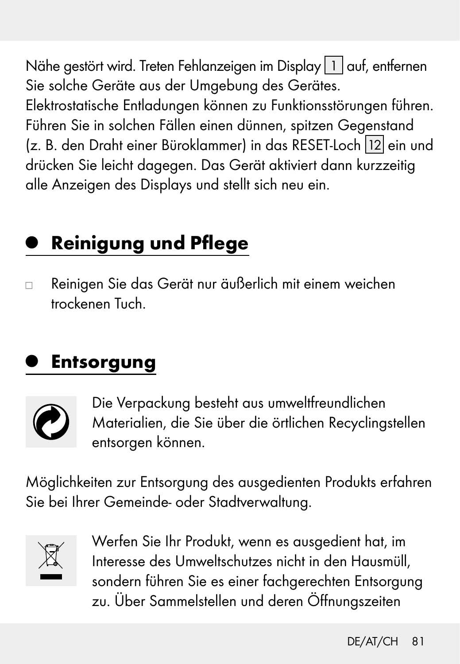Nähe gestört wird. Treten Fehlanzeigen im Display 1 auf, entfernen Sie solche Geräte aus der Umgebung des Gerätes. Elektrostatische Entladungen können zu Funktionsstörungen führen. Führen Sie in solchen Fällen einen dünnen, spitzen Gegenstand (z. B. den Draht einer Büroklammer) in das RESET-Loch 12 ein und drücken Sie leicht dagegen. Das Gerät aktiviert dann kurzzeitig alle Anzeigen des Displays und stellt sich neu ein.

# $\bullet~$  Reinigung und Pflege

 Reinigen Sie das Gerät nur äußerlich mit einem weichen trockenen Tuch.

# **Entsorgung**



Die Verpackung besteht aus umweltfreundlichen Materialien, die Sie über die örtlichen Recyclingstellen entsorgen können.

Möglichkeiten zur Entsorgung des ausgedienten Produkts erfahren Sie bei Ihrer Gemeinde- oder Stadtverwaltung.



Werfen Sie Ihr Produkt, wenn es ausgedient hat, im Interesse des Umweltschutzes nicht in den Hausmüll, sondern führen Sie es einer fachgerechten Entsorgung zu. Über Sammelstellen und deren Öffnungszeiten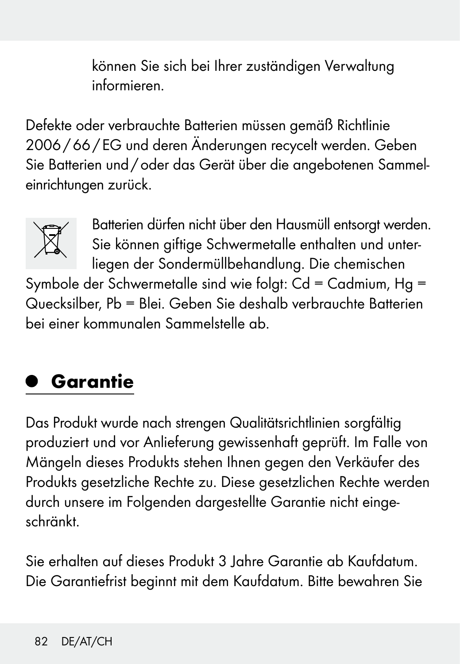können Sie sich bei Ihrer zuständigen Verwaltung informieren.

Defekte oder verbrauchte Batterien müssen gemäß Richtlinie 2006/66/EG und deren Änderungen recycelt werden. Geben Sie Batterien und/oder das Gerät über die angebotenen Sammeleinrichtungen zurück.



Batterien dürfen nicht über den Hausmüll entsorgt werden. Sie können giftige Schwermetalle enthalten und unterliegen der Sondermüllbehandlung. Die chemischen

Symbole der Schwermetalle sind wie folgt: Cd = Cadmium, Hg = Quecksilber, Pb = Blei. Geben Sie deshalb verbrauchte Batterien bei einer kommunalen Sammelstelle ab.

# Garantie

Das Produkt wurde nach strengen Qualitätsrichtlinien sorgfältig produziert und vor Anlieferung gewissenhaft geprüft. Im Falle von Mängeln dieses Produkts stehen Ihnen gegen den Verkäufer des Produkts gesetzliche Rechte zu. Diese gesetzlichen Rechte werden durch unsere im Folgenden dargestellte Garantie nicht eingeschränkt.

Sie erhalten auf dieses Produkt 3 Jahre Garantie ab Kaufdatum. Die Garantiefrist beginnt mit dem Kaufdatum. Bitte bewahren Sie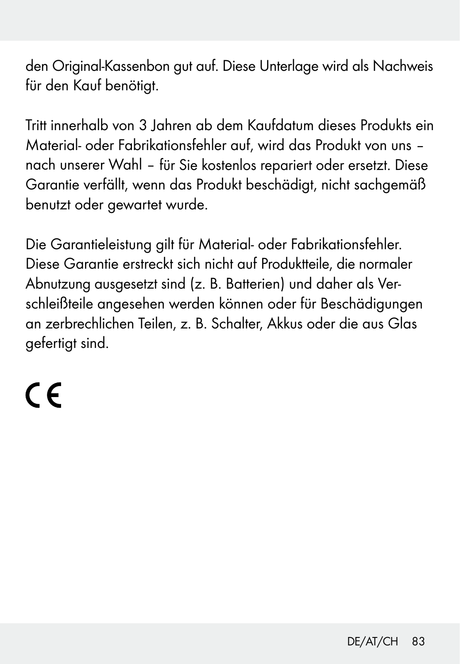den Original-Kassenbon gut auf. Diese Unterlage wird als Nachweis für den Kauf benötigt.

Tritt innerhalb von 3 Jahren ab dem Kaufdatum dieses Produkts ein Material- oder Fabrikationsfehler auf, wird das Produkt von uns – nach unserer Wahl – für Sie kostenlos repariert oder ersetzt. Diese Garantie verfällt, wenn das Produkt beschädigt, nicht sachgemäß benutzt oder gewartet wurde.

Die Garantieleistung gilt für Material- oder Fabrikationsfehler. Diese Garantie erstreckt sich nicht auf Produktteile, die normaler Abnutzung ausgesetzt sind (z. B. Batterien) und daher als Verschleißteile angesehen werden können oder für Beschädigungen an zerbrechlichen Teilen, z. B. Schalter, Akkus oder die aus Glas gefertigt sind.

# $\epsilon$